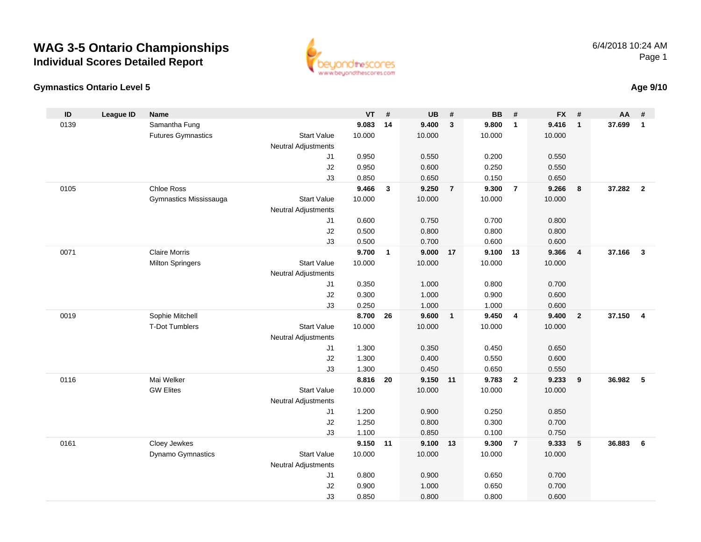#### **Gymnastics Ontario Level 5**

| ID   | League ID | <b>Name</b>               |                            | VT              | #            | <b>UB</b>          | #              | <b>BB</b>       | $\pmb{\#}$              | <b>FX</b>       | $\#$                    | <b>AA</b> | #                       |
|------|-----------|---------------------------|----------------------------|-----------------|--------------|--------------------|----------------|-----------------|-------------------------|-----------------|-------------------------|-----------|-------------------------|
| 0139 |           | Samantha Fung             |                            | 9.083           | 14           | 9.400              | $\mathbf{3}$   | 9.800           | $\mathbf{1}$            | 9.416           | $\mathbf{1}$            | 37.699    | $\mathbf{1}$            |
|      |           | <b>Futures Gymnastics</b> | <b>Start Value</b>         | 10.000          |              | 10.000             |                | 10.000          |                         | 10.000          |                         |           |                         |
|      |           |                           | <b>Neutral Adjustments</b> |                 |              |                    |                |                 |                         |                 |                         |           |                         |
|      |           |                           | J1                         | 0.950           |              | 0.550              |                | 0.200           |                         | 0.550           |                         |           |                         |
|      |           |                           | J2                         | 0.950           |              | 0.600              |                | 0.250           |                         | 0.550           |                         |           |                         |
|      |           |                           | J3                         | 0.850           |              | 0.650              |                | 0.150           |                         | 0.650           |                         |           |                         |
| 0105 |           | <b>Chloe Ross</b>         |                            | 9.466           | $\mathbf{3}$ | 9.250              | $\overline{7}$ | 9.300           | $\overline{7}$          | 9.266           | 8                       | 37.282    | $\overline{\mathbf{2}}$ |
|      |           | Gymnastics Mississauga    | <b>Start Value</b>         | 10.000          |              | 10.000             |                | 10.000          |                         | 10.000          |                         |           |                         |
|      |           |                           | <b>Neutral Adjustments</b> |                 |              |                    |                |                 |                         |                 |                         |           |                         |
|      |           |                           | J1                         | 0.600           |              | 0.750              |                | 0.700           |                         | 0.800           |                         |           |                         |
|      |           |                           | J2                         | 0.500           |              | 0.800              |                | 0.800           |                         | 0.800           |                         |           |                         |
|      |           |                           | J3                         | 0.500           |              | 0.700              |                | 0.600           |                         | 0.600           |                         |           |                         |
| 0071 |           | <b>Claire Morris</b>      |                            | 9.700           | $\mathbf{1}$ | 9.000              | 17             | 9.100           | 13                      | 9.366           | $\overline{\mathbf{4}}$ | 37.166    | $\mathbf{3}$            |
|      |           | <b>Milton Springers</b>   | <b>Start Value</b>         | 10.000          |              | 10.000             |                | 10.000          |                         | 10.000          |                         |           |                         |
|      |           |                           | <b>Neutral Adjustments</b> |                 |              |                    |                |                 |                         |                 |                         |           |                         |
|      |           |                           | J <sub>1</sub>             | 0.350           |              | 1.000              |                | 0.800           |                         | 0.700           |                         |           |                         |
|      |           |                           | J2                         | 0.300           |              | 1.000              |                | 0.900           |                         | 0.600           |                         |           |                         |
|      |           |                           | J3                         | 0.250           |              | 1.000              |                | 1.000           |                         | 0.600           |                         |           |                         |
| 0019 |           | Sophie Mitchell           |                            | 8.700           | 26           | 9.600              | $\overline{1}$ | 9.450           | $\overline{\mathbf{4}}$ | 9.400           | $\boldsymbol{2}$        | 37.150    | $\overline{4}$          |
|      |           | T-Dot Tumblers            | <b>Start Value</b>         | 10.000          |              | 10.000             |                | 10.000          |                         | 10.000          |                         |           |                         |
|      |           |                           | <b>Neutral Adjustments</b> |                 |              |                    |                |                 |                         |                 |                         |           |                         |
|      |           |                           | J <sub>1</sub>             | 1.300           |              | 0.350              |                | 0.450           |                         | 0.650           |                         |           |                         |
|      |           |                           | J2                         | 1.300           |              | 0.400              |                | 0.550           |                         | 0.600           |                         |           |                         |
| 0116 |           | Mai Welker                | J3                         | 1.300           | 20           | 0.450              |                | 0.650           | $\overline{\mathbf{2}}$ | 0.550           |                         |           | 5                       |
|      |           | <b>GW Elites</b>          | <b>Start Value</b>         | 8.816<br>10.000 |              | 9.150 11<br>10.000 |                | 9.783<br>10.000 |                         | 9.233<br>10.000 | $\boldsymbol{9}$        | 36.982    |                         |
|      |           |                           | <b>Neutral Adjustments</b> |                 |              |                    |                |                 |                         |                 |                         |           |                         |
|      |           |                           | J <sub>1</sub>             | 1.200           |              | 0.900              |                | 0.250           |                         | 0.850           |                         |           |                         |
|      |           |                           | $\sf J2$                   | 1.250           |              | 0.800              |                | 0.300           |                         | 0.700           |                         |           |                         |
|      |           |                           | J3                         | 1.100           |              | 0.850              |                | 0.100           |                         | 0.750           |                         |           |                         |
| 0161 |           | Cloey Jewkes              |                            | 9.150 11        |              | 9.100 13           |                | 9.300           | $\overline{7}$          | 9.333           | $\sqrt{5}$              | 36.883    | 6                       |
|      |           | Dynamo Gymnastics         | <b>Start Value</b>         | 10.000          |              | 10.000             |                | 10.000          |                         | 10.000          |                         |           |                         |
|      |           |                           | <b>Neutral Adjustments</b> |                 |              |                    |                |                 |                         |                 |                         |           |                         |
|      |           |                           | J1                         | 0.800           |              | 0.900              |                | 0.650           |                         | 0.700           |                         |           |                         |
|      |           |                           | J2                         | 0.900           |              | 1.000              |                | 0.650           |                         | 0.700           |                         |           |                         |
|      |           |                           |                            |                 |              |                    |                |                 |                         |                 |                         |           |                         |

J3

0.850 0.800 0.800 0.600



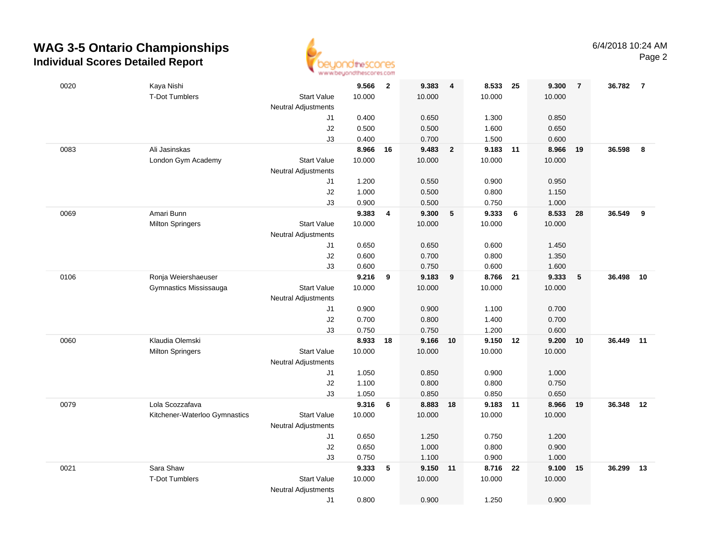

| 0020 | Kaya Nishi                    |                            | 9.566          | $\overline{\mathbf{2}}$ | 9.383          | $\overline{4}$          | 8.533          | - 25  | 9.300          | $\overline{7}$ | 36.782 | $\overline{7}$ |
|------|-------------------------------|----------------------------|----------------|-------------------------|----------------|-------------------------|----------------|-------|----------------|----------------|--------|----------------|
|      | <b>T-Dot Tumblers</b>         | <b>Start Value</b>         | 10.000         |                         | 10.000         |                         | 10.000         |       | 10.000         |                |        |                |
|      |                               | <b>Neutral Adjustments</b> |                |                         |                |                         |                |       |                |                |        |                |
|      |                               | J1                         | 0.400          |                         | 0.650          |                         | 1.300          |       | 0.850          |                |        |                |
|      |                               | J2                         | 0.500          |                         | 0.500          |                         | 1.600          |       | 0.650          |                |        |                |
|      |                               | J3                         | 0.400          |                         | 0.700          |                         | 1.500          |       | 0.600          |                |        |                |
| 0083 | Ali Jasinskas                 |                            | 8.966          | 16                      | 9.483          | $\overline{\mathbf{2}}$ | 9.183          | $-11$ | 8.966          | 19             | 36.598 | 8              |
|      | London Gym Academy            | <b>Start Value</b>         | 10.000         |                         | 10.000         |                         | 10.000         |       | 10.000         |                |        |                |
|      |                               | <b>Neutral Adjustments</b> |                |                         |                |                         |                |       |                |                |        |                |
|      |                               | J1                         | 1.200          |                         | 0.550          |                         | 0.900          |       | 0.950          |                |        |                |
|      |                               | J2                         | 1.000          |                         | 0.500          |                         | 0.800          |       | 1.150          |                |        |                |
|      |                               | J3                         | 0.900          |                         | 0.500          |                         | 0.750          |       | 1.000          |                |        |                |
| 0069 | Amari Bunn                    |                            | 9.383          | $\overline{4}$          | 9.300          | 5                       | 9.333          | 6     | 8.533          | 28             | 36.549 | 9              |
|      | <b>Milton Springers</b>       | <b>Start Value</b>         | 10.000         |                         | 10.000         |                         | 10.000         |       | 10.000         |                |        |                |
|      |                               | <b>Neutral Adjustments</b> |                |                         |                |                         |                |       |                |                |        |                |
|      |                               | J1                         | 0.650          |                         | 0.650          |                         | 0.600          |       | 1.450          |                |        |                |
|      |                               | $\sf J2$                   | 0.600          |                         | 0.700          |                         | 0.800          |       | 1.350          |                |        |                |
|      |                               | J3                         | 0.600          |                         | 0.750          |                         | 0.600          |       | 1.600          |                |        |                |
| 0106 | Ronja Weiershaeuser           |                            | 9.216          | 9                       | 9.183          | 9                       | 8.766          | 21    | 9.333          | $\sqrt{5}$     | 36.498 | 10             |
|      | Gymnastics Mississauga        | <b>Start Value</b>         | 10.000         |                         | 10.000         |                         | 10.000         |       | 10.000         |                |        |                |
|      |                               | <b>Neutral Adjustments</b> |                |                         |                |                         |                |       |                |                |        |                |
|      |                               | J1                         | 0.900          |                         | 0.900          |                         | 1.100          |       | 0.700          |                |        |                |
|      |                               | J2                         | 0.700          |                         | 0.800          |                         | 1.400          |       | 0.700          |                |        |                |
|      |                               | J3                         | 0.750          |                         | 0.750          |                         | 1.200          |       | 0.600          |                |        |                |
| 0060 | Klaudia Olemski               |                            | 8.933          | 18                      | 9.166          | 10                      | 9.150          | 12    | 9.200          | 10             | 36.449 | 11             |
|      | <b>Milton Springers</b>       | <b>Start Value</b>         | 10.000         |                         | 10.000         |                         | 10.000         |       | 10.000         |                |        |                |
|      |                               | <b>Neutral Adjustments</b> |                |                         |                |                         |                |       |                |                |        |                |
|      |                               | J1<br>J2                   | 1.050<br>1.100 |                         | 0.850<br>0.800 |                         | 0.900<br>0.800 |       | 1.000<br>0.750 |                |        |                |
|      |                               | J3                         | 1.050          |                         | 0.850          |                         | 0.850          |       | 0.650          |                |        |                |
| 0079 | Lola Scozzafava               |                            | 9.316          | 6                       | 8.883          | 18                      | 9.183 11       |       | 8.966          | 19             | 36.348 | 12             |
|      | Kitchener-Waterloo Gymnastics | <b>Start Value</b>         | 10.000         |                         | 10.000         |                         | 10.000         |       | 10.000         |                |        |                |
|      |                               | <b>Neutral Adjustments</b> |                |                         |                |                         |                |       |                |                |        |                |
|      |                               | J1                         | 0.650          |                         | 1.250          |                         | 0.750          |       | 1.200          |                |        |                |
|      |                               | J2                         | 0.650          |                         | 1.000          |                         | 0.800          |       | 0.900          |                |        |                |
|      |                               | J3                         | 0.750          |                         | 1.100          |                         | 0.900          |       | 1.000          |                |        |                |
| 0021 | Sara Shaw                     |                            | 9.333          | 5                       | 9.150          | 11                      | 8.716          | 22    | 9.100          | 15             | 36.299 | 13             |
|      | <b>T-Dot Tumblers</b>         | <b>Start Value</b>         | 10.000         |                         | 10.000         |                         | 10.000         |       | 10.000         |                |        |                |
|      |                               | <b>Neutral Adjustments</b> |                |                         |                |                         |                |       |                |                |        |                |
|      |                               | J1                         | 0.800          |                         | 0.900          |                         | 1.250          |       | 0.900          |                |        |                |
|      |                               |                            |                |                         |                |                         |                |       |                |                |        |                |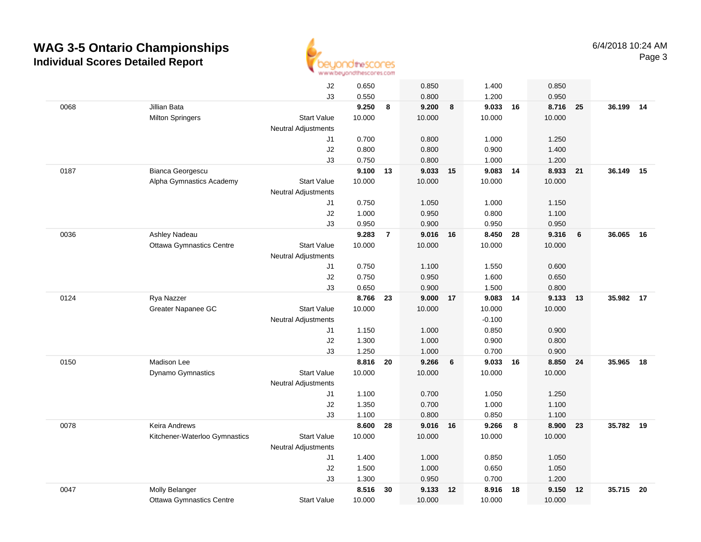

|      |                                 | J2                         | 0.650          |                | 0.850          |    | 1.400          |                  | 0.850          |      |           |    |
|------|---------------------------------|----------------------------|----------------|----------------|----------------|----|----------------|------------------|----------------|------|-----------|----|
|      |                                 | J3                         | 0.550          |                | 0.800          |    | 1.200          |                  | 0.950          |      |           |    |
| 0068 | Jillian Bata                    |                            | 9.250          | 8              | 9.200          | 8  | 9.033          | 16               | 8.716          | - 25 | 36.199    | 14 |
|      | <b>Milton Springers</b>         | <b>Start Value</b>         | 10.000         |                | 10.000         |    | 10.000         |                  | 10.000         |      |           |    |
|      |                                 | <b>Neutral Adjustments</b> |                |                |                |    |                |                  |                |      |           |    |
|      |                                 | J1                         | 0.700          |                | 0.800          |    | 1.000          |                  | 1.250          |      |           |    |
|      |                                 | J2                         | 0.800          |                | 0.800          |    | 0.900          |                  | 1.400          |      |           |    |
|      |                                 | J3                         | 0.750          |                | 0.800          |    | 1.000          |                  | 1.200          |      |           |    |
| 0187 | Bianca Georgescu                |                            | 9.100          | 13             | 9.033          | 15 | 9.083          | 14               | 8.933          | 21   | 36.149    | 15 |
|      | Alpha Gymnastics Academy        | <b>Start Value</b>         | 10.000         |                | 10.000         |    | 10.000         |                  | 10.000         |      |           |    |
|      |                                 | <b>Neutral Adjustments</b> |                |                |                |    |                |                  |                |      |           |    |
|      |                                 | J1                         | 0.750          |                | 1.050          |    | 1.000          |                  | 1.150          |      |           |    |
|      |                                 | J2                         | 1.000          |                | 0.950          |    | 0.800          |                  | 1.100          |      |           |    |
|      |                                 | J3                         | 0.950          |                | 0.900          |    | 0.950          |                  | 0.950          |      |           |    |
| 0036 | Ashley Nadeau                   |                            | 9.283          | $\overline{7}$ | 9.016 16       |    | 8.450          | 28               | 9.316          | 6    | 36.065    | 16 |
|      | <b>Ottawa Gymnastics Centre</b> | <b>Start Value</b>         | 10.000         |                | 10.000         |    | 10.000         |                  | 10.000         |      |           |    |
|      |                                 | <b>Neutral Adjustments</b> |                |                |                |    |                |                  |                |      |           |    |
|      |                                 | J1                         | 0.750          |                | 1.100          |    | 1.550          |                  | 0.600          |      |           |    |
|      |                                 | J2                         | 0.750          |                | 0.950          |    | 1.600          |                  | 0.650          |      |           |    |
|      |                                 | J3                         | 0.650          |                | 0.900          |    | 1.500          |                  | 0.800          |      |           |    |
| 0124 | Rya Nazzer                      |                            | 8.766          | 23             | 9.000          | 17 | 9.083          | 14               | 9.133          | 13   | 35.982 17 |    |
|      | Greater Napanee GC              | <b>Start Value</b>         | 10.000         |                | 10.000         |    | 10.000         |                  | 10.000         |      |           |    |
|      |                                 | Neutral Adjustments        |                |                |                |    | $-0.100$       |                  |                |      |           |    |
|      |                                 | J1                         | 1.150          |                | 1.000          |    | 0.850          |                  | 0.900          |      |           |    |
|      |                                 | J2                         | 1.300          |                | 1.000          |    | 0.900          |                  | 0.800          |      |           |    |
| 0150 | Madison Lee                     | J3                         | 1.250<br>8.816 |                | 1.000<br>9.266 |    | 0.700<br>9.033 |                  | 0.900<br>8.850 | 24   | 35.965    | 18 |
|      |                                 | <b>Start Value</b>         | 10.000         | 20             | 10.000         | 6  | 10.000         | 16               | 10.000         |      |           |    |
|      | <b>Dynamo Gymnastics</b>        | <b>Neutral Adjustments</b> |                |                |                |    |                |                  |                |      |           |    |
|      |                                 | J1                         | 1.100          |                | 0.700          |    | 1.050          |                  | 1.250          |      |           |    |
|      |                                 | J2                         | 1.350          |                | 0.700          |    | 1.000          |                  | 1.100          |      |           |    |
|      |                                 | J3                         | 1.100          |                | 0.800          |    | 0.850          |                  | 1.100          |      |           |    |
| 0078 | <b>Keira Andrews</b>            |                            | 8.600          | 28             | 9.016 16       |    | 9.266          | $\boldsymbol{8}$ | 8.900          | 23   | 35.782 19 |    |
|      | Kitchener-Waterloo Gymnastics   | <b>Start Value</b>         | 10.000         |                | 10.000         |    | 10.000         |                  | 10.000         |      |           |    |
|      |                                 | <b>Neutral Adjustments</b> |                |                |                |    |                |                  |                |      |           |    |
|      |                                 | J1                         | 1.400          |                | 1.000          |    | 0.850          |                  | 1.050          |      |           |    |
|      |                                 | J2                         | 1.500          |                | 1.000          |    | 0.650          |                  | 1.050          |      |           |    |
|      |                                 | J3                         | 1.300          |                | 0.950          |    | 0.700          |                  | 1.200          |      |           |    |
| 0047 | Molly Belanger                  |                            | 8.516          | 30             | 9.133          | 12 | 8.916          | 18               | 9.150          | 12   | 35.715    | 20 |
|      | <b>Ottawa Gymnastics Centre</b> | <b>Start Value</b>         | 10.000         |                | 10.000         |    | 10.000         |                  | 10.000         |      |           |    |
|      |                                 |                            |                |                |                |    |                |                  |                |      |           |    |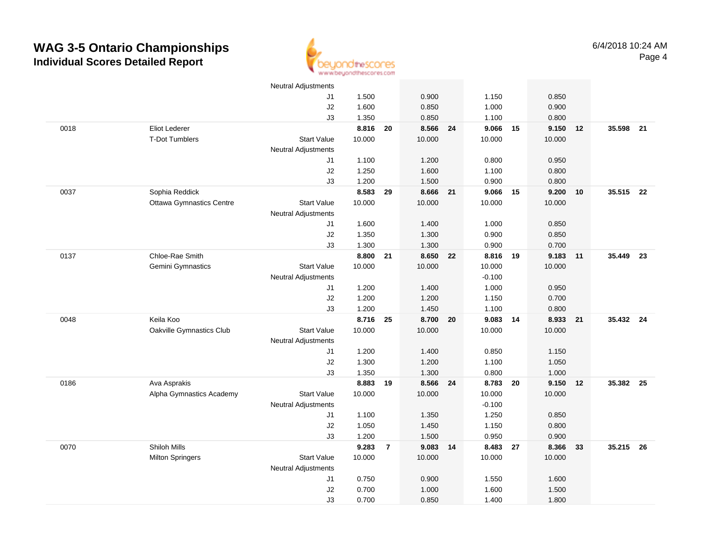

|      |                                 | <b>Neutral Adjustments</b> |          |                |          |          |    |        |    |           |  |
|------|---------------------------------|----------------------------|----------|----------------|----------|----------|----|--------|----|-----------|--|
|      |                                 | J1                         | 1.500    |                | 0.900    | 1.150    |    | 0.850  |    |           |  |
|      |                                 | J2                         | 1.600    |                | 0.850    | 1.000    |    | 0.900  |    |           |  |
|      |                                 | J3                         | 1.350    |                | 0.850    | 1.100    |    | 0.800  |    |           |  |
| 0018 | Eliot Lederer                   |                            | 8.816 20 |                | 8.566 24 | 9.066 15 |    | 9.150  | 12 | 35.598 21 |  |
|      | <b>T-Dot Tumblers</b>           | <b>Start Value</b>         | 10.000   |                | 10.000   | 10.000   |    | 10.000 |    |           |  |
|      |                                 | <b>Neutral Adjustments</b> |          |                |          |          |    |        |    |           |  |
|      |                                 | J1                         | 1.100    |                | 1.200    | 0.800    |    | 0.950  |    |           |  |
|      |                                 | J2                         | 1.250    |                | 1.600    | 1.100    |    | 0.800  |    |           |  |
|      |                                 | J3                         | 1.200    |                | 1.500    | 0.900    |    | 0.800  |    |           |  |
| 0037 | Sophia Reddick                  |                            | 8.583    | 29             | 8.666 21 | 9.066    | 15 | 9.200  | 10 | 35.515 22 |  |
|      | <b>Ottawa Gymnastics Centre</b> | <b>Start Value</b>         | 10.000   |                | 10.000   | 10.000   |    | 10.000 |    |           |  |
|      |                                 | <b>Neutral Adjustments</b> |          |                |          |          |    |        |    |           |  |
|      |                                 | J1                         | 1.600    |                | 1.400    | 1.000    |    | 0.850  |    |           |  |
|      |                                 | J2                         | 1.350    |                | 1.300    | 0.900    |    | 0.850  |    |           |  |
|      |                                 | J3                         | 1.300    |                | 1.300    | 0.900    |    | 0.700  |    |           |  |
| 0137 | Chloe-Rae Smith                 |                            | 8.800    | 21             | 8.650 22 | 8.816    | 19 | 9.183  | 11 | 35.449 23 |  |
|      | Gemini Gymnastics               | <b>Start Value</b>         | 10.000   |                | 10.000   | 10.000   |    | 10.000 |    |           |  |
|      |                                 | <b>Neutral Adjustments</b> |          |                |          | $-0.100$ |    |        |    |           |  |
|      |                                 | J1                         | 1.200    |                | 1.400    | 1.000    |    | 0.950  |    |           |  |
|      |                                 | J2                         | 1.200    |                | 1.200    | 1.150    |    | 0.700  |    |           |  |
|      |                                 | J3                         | 1.200    |                | 1.450    | 1.100    |    | 0.800  |    |           |  |
| 0048 | Keila Koo                       |                            | 8.716    | 25             | 8.700 20 | 9.083    | 14 | 8.933  | 21 | 35.432 24 |  |
|      | Oakville Gymnastics Club        | <b>Start Value</b>         | 10.000   |                | 10.000   | 10.000   |    | 10.000 |    |           |  |
|      |                                 | <b>Neutral Adjustments</b> |          |                |          |          |    |        |    |           |  |
|      |                                 | J1                         | 1.200    |                | 1.400    | 0.850    |    | 1.150  |    |           |  |
|      |                                 | J2                         | 1.300    |                | 1.200    | 1.100    |    | 1.050  |    |           |  |
|      |                                 | J3                         | 1.350    |                | 1.300    | 0.800    |    | 1.000  |    |           |  |
| 0186 | Ava Asprakis                    |                            | 8.883 19 |                | 8.566 24 | 8.783 20 |    | 9.150  | 12 | 35.382 25 |  |
|      | Alpha Gymnastics Academy        | <b>Start Value</b>         | 10.000   |                | 10.000   | 10.000   |    | 10.000 |    |           |  |
|      |                                 | <b>Neutral Adjustments</b> |          |                |          | $-0.100$ |    |        |    |           |  |
|      |                                 | J1                         | 1.100    |                | 1.350    | 1.250    |    | 0.850  |    |           |  |
|      |                                 | J2                         | 1.050    |                | 1.450    | 1.150    |    | 0.800  |    |           |  |
|      |                                 | J3                         | 1.200    |                | 1.500    | 0.950    |    | 0.900  |    |           |  |
| 0070 | Shiloh Mills                    |                            | 9.283    | $\overline{7}$ | 9.083 14 | 8.483 27 |    | 8.366  | 33 | 35.215 26 |  |
|      | <b>Milton Springers</b>         | <b>Start Value</b>         | 10.000   |                | 10.000   | 10.000   |    | 10.000 |    |           |  |
|      |                                 | <b>Neutral Adjustments</b> |          |                |          |          |    |        |    |           |  |
|      |                                 | J1                         | 0.750    |                | 0.900    | 1.550    |    | 1.600  |    |           |  |
|      |                                 | J2                         | 0.700    |                | 1.000    | 1.600    |    | 1.500  |    |           |  |
|      |                                 | J3                         | 0.700    |                | 0.850    | 1.400    |    | 1.800  |    |           |  |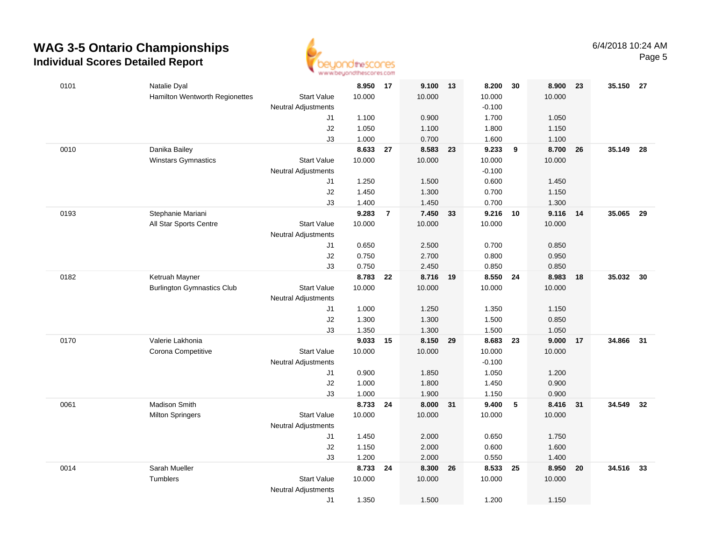

| 0101 | Natalie Dyal                      |                                  | 8.950           | 17             | 9.100 13 |    | 8.200              | 30   | 8.900           | 23 | 35.150 27 |      |
|------|-----------------------------------|----------------------------------|-----------------|----------------|----------|----|--------------------|------|-----------------|----|-----------|------|
|      | Hamilton Wentworth Regionettes    | <b>Start Value</b>               | 10.000          |                | 10.000   |    | 10.000             |      | 10.000          |    |           |      |
|      |                                   | <b>Neutral Adjustments</b>       |                 |                |          |    | $-0.100$           |      |                 |    |           |      |
|      |                                   | J1                               | 1.100           |                | 0.900    |    | 1.700              |      | 1.050           |    |           |      |
|      |                                   | J2                               | 1.050           |                | 1.100    |    | 1.800              |      | 1.150           |    |           |      |
|      |                                   | J3                               | 1.000           |                | 0.700    |    | 1.600              |      | 1.100           |    |           |      |
| 0010 | Danika Bailey                     |                                  | 8.633           | 27             | 8.583 23 |    | 9.233              | 9    | 8.700           | 26 | 35.149    | - 28 |
|      | <b>Winstars Gymnastics</b>        | <b>Start Value</b>               | 10.000          |                | 10.000   |    | 10.000             |      | 10.000          |    |           |      |
|      |                                   | <b>Neutral Adjustments</b>       |                 |                |          |    | $-0.100$           |      |                 |    |           |      |
|      |                                   | J1                               | 1.250           |                | 1.500    |    | 0.600              |      | 1.450           |    |           |      |
|      |                                   | J2                               | 1.450           |                | 1.300    |    | 0.700              |      | 1.150           |    |           |      |
|      |                                   | J3                               | 1.400           |                | 1.450    |    | 0.700              |      | 1.300           |    |           |      |
| 0193 | Stephanie Mariani                 |                                  | 9.283           | $\overline{7}$ | 7.450    | 33 | 9.216              | 10   | 9.116           | 14 | 35.065    | 29   |
|      | All Star Sports Centre            | <b>Start Value</b>               | 10.000          |                | 10.000   |    | 10.000             |      | 10.000          |    |           |      |
|      |                                   | <b>Neutral Adjustments</b>       |                 |                |          |    |                    |      |                 |    |           |      |
|      |                                   | J1                               | 0.650           |                | 2.500    |    | 0.700              |      | 0.850           |    |           |      |
|      |                                   | J2                               | 0.750           |                | 2.700    |    | 0.800              |      | 0.950           |    |           |      |
|      |                                   | J3                               | 0.750           |                | 2.450    |    | 0.850              |      | 0.850           |    |           |      |
| 0182 | Ketruah Mayner                    |                                  | 8.783<br>10.000 | 22             | 8.716 19 |    | 8.550 24<br>10.000 |      | 8.983<br>10.000 | 18 | 35.032    | - 30 |
|      | <b>Burlington Gymnastics Club</b> | <b>Start Value</b>               |                 |                | 10.000   |    |                    |      |                 |    |           |      |
|      |                                   | <b>Neutral Adjustments</b><br>J1 | 1.000           |                | 1.250    |    | 1.350              |      | 1.150           |    |           |      |
|      |                                   | J2                               | 1.300           |                | 1.300    |    | 1.500              |      | 0.850           |    |           |      |
|      |                                   | J3                               | 1.350           |                | 1.300    |    | 1.500              |      | 1.050           |    |           |      |
| 0170 | Valerie Lakhonia                  |                                  | 9.033           | 15             | 8.150    | 29 | 8.683              | 23   | 9.000           | 17 | 34.866    | 31   |
|      | Corona Competitive                | <b>Start Value</b>               | 10.000          |                | 10.000   |    | 10.000             |      | 10.000          |    |           |      |
|      |                                   | <b>Neutral Adjustments</b>       |                 |                |          |    | $-0.100$           |      |                 |    |           |      |
|      |                                   | J1                               | 0.900           |                | 1.850    |    | 1.050              |      | 1.200           |    |           |      |
|      |                                   | J2                               | 1.000           |                | 1.800    |    | 1.450              |      | 0.900           |    |           |      |
|      |                                   | J3                               | 1.000           |                | 1.900    |    | 1.150              |      | 0.900           |    |           |      |
| 0061 | <b>Madison Smith</b>              |                                  | 8.733           | 24             | 8.000 31 |    | 9.400              | 5    | 8.416           | 31 | 34.549 32 |      |
|      | <b>Milton Springers</b>           | <b>Start Value</b>               | 10.000          |                | 10.000   |    | 10.000             |      | 10.000          |    |           |      |
|      |                                   | <b>Neutral Adjustments</b>       |                 |                |          |    |                    |      |                 |    |           |      |
|      |                                   | J1                               | 1.450           |                | 2.000    |    | 0.650              |      | 1.750           |    |           |      |
|      |                                   | J2                               | 1.150           |                | 2.000    |    | 0.600              |      | 1.600           |    |           |      |
|      |                                   | J3                               | 1.200           |                | 2.000    |    | 0.550              |      | 1.400           |    |           |      |
| 0014 | Sarah Mueller                     |                                  | 8.733           | 24             | 8.300    | 26 | 8.533              | - 25 | 8.950           | 20 | 34.516    | - 33 |
|      | Tumblers                          | <b>Start Value</b>               | 10.000          |                | 10.000   |    | 10.000             |      | 10.000          |    |           |      |
|      |                                   | <b>Neutral Adjustments</b>       |                 |                |          |    |                    |      |                 |    |           |      |
|      |                                   | J1                               | 1.350           |                | 1.500    |    | 1.200              |      | 1.150           |    |           |      |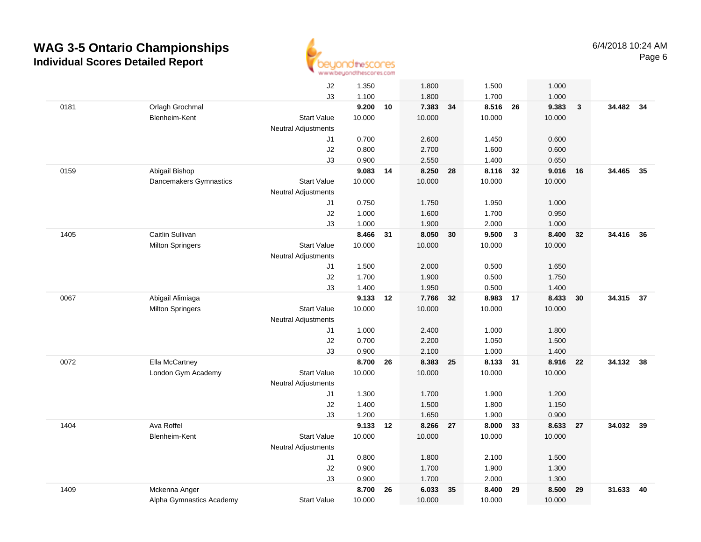

|      |                          | J2                         | 1.350          |    | 1.800          |    | 1.500    |              | 1.000           |              |           |    |
|------|--------------------------|----------------------------|----------------|----|----------------|----|----------|--------------|-----------------|--------------|-----------|----|
|      |                          | J3                         | 1.100          |    | 1.800          |    | 1.700    |              | 1.000           |              |           |    |
| 0181 | Orlagh Grochmal          |                            | 9.200          | 10 | 7.383          | 34 | 8.516    | 26           | 9.383           | $\mathbf{3}$ | 34.482 34 |    |
|      | Blenheim-Kent            | <b>Start Value</b>         | 10.000         |    | 10.000         |    | 10.000   |              | 10.000          |              |           |    |
|      |                          | <b>Neutral Adjustments</b> |                |    |                |    |          |              |                 |              |           |    |
|      |                          | J1                         | 0.700          |    | 2.600          |    | 1.450    |              | 0.600           |              |           |    |
|      |                          | J2                         | 0.800          |    | 2.700          |    | 1.600    |              | 0.600           |              |           |    |
|      |                          | JЗ                         | 0.900          |    | 2.550          |    | 1.400    |              | 0.650           |              |           |    |
| 0159 | Abigail Bishop           |                            | 9.083          | 14 | 8.250          | 28 | 8.116 32 |              | 9.016           | 16           | 34.465 35 |    |
|      | Dancemakers Gymnastics   | <b>Start Value</b>         | 10.000         |    | 10.000         |    | 10.000   |              | 10.000          |              |           |    |
|      |                          | <b>Neutral Adjustments</b> |                |    |                |    |          |              |                 |              |           |    |
|      |                          | J1                         | 0.750          |    | 1.750          |    | 1.950    |              | 1.000           |              |           |    |
|      |                          | J2                         | 1.000          |    | 1.600          |    | 1.700    |              | 0.950           |              |           |    |
|      |                          | J3                         | 1.000          |    | 1.900          |    | 2.000    |              | 1.000           |              |           |    |
| 1405 | Caitlin Sullivan         |                            | 8.466          | 31 | 8.050          | 30 | 9.500    | $\mathbf{3}$ | 8.400           | 32           | 34.416 36 |    |
|      | <b>Milton Springers</b>  | <b>Start Value</b>         | 10.000         |    | 10.000         |    | 10.000   |              | 10.000          |              |           |    |
|      |                          | <b>Neutral Adjustments</b> |                |    |                |    |          |              |                 |              |           |    |
|      |                          | J1                         | 1.500          |    | 2.000          |    | 0.500    |              | 1.650           |              |           |    |
|      |                          | J2                         | 1.700          |    | 1.900          |    | 0.500    |              | 1.750           |              |           |    |
|      |                          | J3                         | 1.400<br>9.133 |    | 1.950<br>7.766 |    | 0.500    |              | 1.400           |              | 34.315 37 |    |
| 0067 | Abigail Alimiaga         | <b>Start Value</b>         | 10.000         | 12 |                | 32 | 8.983    | 17           | 8.433<br>10.000 | 30           |           |    |
|      | <b>Milton Springers</b>  |                            |                |    | 10.000         |    | 10.000   |              |                 |              |           |    |
|      |                          | <b>Neutral Adjustments</b> | 1.000          |    | 2.400          |    | 1.000    |              | 1.800           |              |           |    |
|      |                          | J1<br>J2                   | 0.700          |    | 2.200          |    | 1.050    |              | 1.500           |              |           |    |
|      |                          | J3                         | 0.900          |    | 2.100          |    | 1.000    |              | 1.400           |              |           |    |
| 0072 | Ella McCartney           |                            | 8.700          | 26 | 8.383          | 25 | 8.133 31 |              | 8.916           | 22           | 34.132 38 |    |
|      | London Gym Academy       | <b>Start Value</b>         | 10.000         |    | 10.000         |    | 10.000   |              | 10.000          |              |           |    |
|      |                          | <b>Neutral Adjustments</b> |                |    |                |    |          |              |                 |              |           |    |
|      |                          | J1                         | 1.300          |    | 1.700          |    | 1.900    |              | 1.200           |              |           |    |
|      |                          | J2                         | 1.400          |    | 1.500          |    | 1.800    |              | 1.150           |              |           |    |
|      |                          | J3                         | 1.200          |    | 1.650          |    | 1.900    |              | 0.900           |              |           |    |
| 1404 | Ava Roffel               |                            | 9.133          | 12 | 8.266 27       |    | 8.000    | 33           | 8.633           | 27           | 34.032 39 |    |
|      | Blenheim-Kent            | <b>Start Value</b>         | 10.000         |    | 10.000         |    | 10.000   |              | 10.000          |              |           |    |
|      |                          | <b>Neutral Adjustments</b> |                |    |                |    |          |              |                 |              |           |    |
|      |                          | J1                         | 0.800          |    | 1.800          |    | 2.100    |              | 1.500           |              |           |    |
|      |                          | J2                         | 0.900          |    | 1.700          |    | 1.900    |              | 1.300           |              |           |    |
|      |                          | J3                         | 0.900          |    | 1.700          |    | 2.000    |              | 1.300           |              |           |    |
| 1409 | Mckenna Anger            |                            | 8.700          | 26 | 6.033          | 35 | 8.400    | 29           | 8.500           | 29           | 31.633    | 40 |
|      | Alpha Gymnastics Academy | <b>Start Value</b>         | 10.000         |    | 10.000         |    | 10.000   |              | 10.000          |              |           |    |
|      |                          |                            |                |    |                |    |          |              |                 |              |           |    |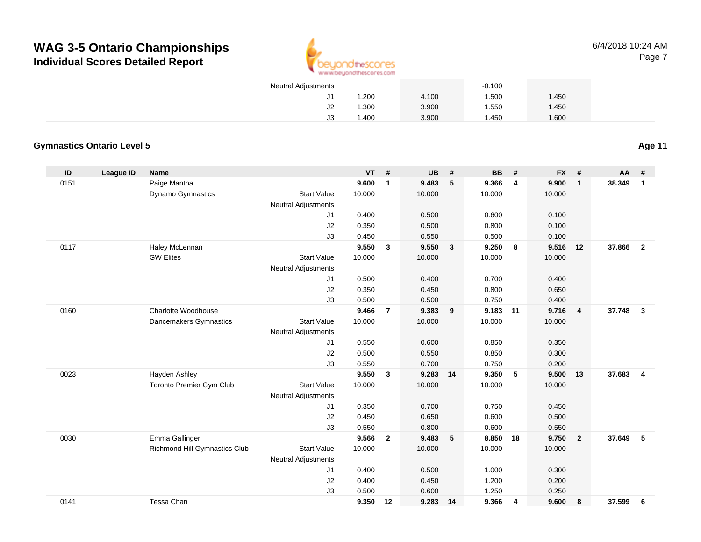

| <b>Neutral Adjustments</b> |       |       | $-0.100$ |       |
|----------------------------|-------|-------|----------|-------|
| J1                         | 1.200 | 4.100 | 1.500    | 1.450 |
| J2                         | 1.300 | 3.900 | 1.550    | 1.450 |
| JЗ                         | 1.400 | 3.900 | 1.450    | 1.600 |

#### **Gymnastics Ontario Level 5**

**Age 11**

| $\mathsf{ID}$ | <b>League ID</b> | Name                          |                            | VT     | #              | <b>UB</b> | #                       | BB     | #              | <b>FX</b> | #              | <b>AA</b> | #              |
|---------------|------------------|-------------------------------|----------------------------|--------|----------------|-----------|-------------------------|--------|----------------|-----------|----------------|-----------|----------------|
| 0151          |                  | Paige Mantha                  |                            | 9.600  | 1              | 9.483     | 5                       | 9.366  | $\overline{4}$ | 9.900     | $\mathbf{1}$   | 38.349    | $\mathbf{1}$   |
|               |                  | Dynamo Gymnastics             | <b>Start Value</b>         | 10.000 |                | 10.000    |                         | 10.000 |                | 10.000    |                |           |                |
|               |                  |                               | <b>Neutral Adjustments</b> |        |                |           |                         |        |                |           |                |           |                |
|               |                  |                               | J1                         | 0.400  |                | 0.500     |                         | 0.600  |                | 0.100     |                |           |                |
|               |                  |                               | J2                         | 0.350  |                | 0.500     |                         | 0.800  |                | 0.100     |                |           |                |
|               |                  |                               | J3                         | 0.450  |                | 0.550     |                         | 0.500  |                | 0.100     |                |           |                |
| 0117          |                  | Haley McLennan                |                            | 9.550  | 3              | 9.550     | $\overline{\mathbf{3}}$ | 9.250  | - 8            | 9.516     | 12             | 37.866    | $\overline{2}$ |
|               |                  | <b>GW Elites</b>              | <b>Start Value</b>         | 10.000 |                | 10.000    |                         | 10.000 |                | 10.000    |                |           |                |
|               |                  |                               | <b>Neutral Adjustments</b> |        |                |           |                         |        |                |           |                |           |                |
|               |                  |                               | J1                         | 0.500  |                | 0.400     |                         | 0.700  |                | 0.400     |                |           |                |
|               |                  |                               | J2                         | 0.350  |                | 0.450     |                         | 0.800  |                | 0.650     |                |           |                |
|               |                  |                               | J3                         | 0.500  |                | 0.500     |                         | 0.750  |                | 0.400     |                |           |                |
| 0160          |                  | Charlotte Woodhouse           |                            | 9.466  | $\overline{7}$ | 9.383     | 9                       | 9.183  | 11             | 9.716     | $\overline{4}$ | 37.748    | $\mathbf{3}$   |
|               |                  | Dancemakers Gymnastics        | <b>Start Value</b>         | 10.000 |                | 10.000    |                         | 10.000 |                | 10.000    |                |           |                |
|               |                  |                               | <b>Neutral Adjustments</b> |        |                |           |                         |        |                |           |                |           |                |
|               |                  |                               | J1                         | 0.550  |                | 0.600     |                         | 0.850  |                | 0.350     |                |           |                |
|               |                  |                               | J2                         | 0.500  |                | 0.550     |                         | 0.850  |                | 0.300     |                |           |                |
|               |                  |                               | J3                         | 0.550  |                | 0.700     |                         | 0.750  |                | 0.200     |                |           |                |
| 0023          |                  | Hayden Ashley                 |                            | 9.550  | $\mathbf{3}$   | 9.283     | 14                      | 9.350  | -5             | 9.500     | 13             | 37.683    | 4              |
|               |                  | Toronto Premier Gym Club      | <b>Start Value</b>         | 10.000 |                | 10.000    |                         | 10.000 |                | 10.000    |                |           |                |
|               |                  |                               | <b>Neutral Adjustments</b> |        |                |           |                         |        |                |           |                |           |                |
|               |                  |                               | J1                         | 0.350  |                | 0.700     |                         | 0.750  |                | 0.450     |                |           |                |
|               |                  |                               | J2                         | 0.450  |                | 0.650     |                         | 0.600  |                | 0.500     |                |           |                |
|               |                  |                               | J3                         | 0.550  |                | 0.800     |                         | 0.600  |                | 0.550     |                |           |                |
| 0030          |                  | Emma Gallinger                |                            | 9.566  | $\mathbf{2}$   | 9.483     | $-5$                    | 8.850  | 18             | 9.750     | $\overline{2}$ | 37.649    | 5              |
|               |                  | Richmond Hill Gymnastics Club | <b>Start Value</b>         | 10.000 |                | 10.000    |                         | 10.000 |                | 10.000    |                |           |                |
|               |                  |                               | <b>Neutral Adjustments</b> |        |                |           |                         |        |                |           |                |           |                |
|               |                  |                               | J1                         | 0.400  |                | 0.500     |                         | 1.000  |                | 0.300     |                |           |                |
|               |                  |                               | J2                         | 0.400  |                | 0.450     |                         | 1.200  |                | 0.200     |                |           |                |
|               |                  |                               | J3                         | 0.500  |                | 0.600     |                         | 1.250  |                | 0.250     |                |           |                |
| 0141          |                  | Tessa Chan                    |                            | 9.350  | 12             | 9.283     | 14                      | 9.366  | 4              | 9.600     | 8              | 37.599    | 6              |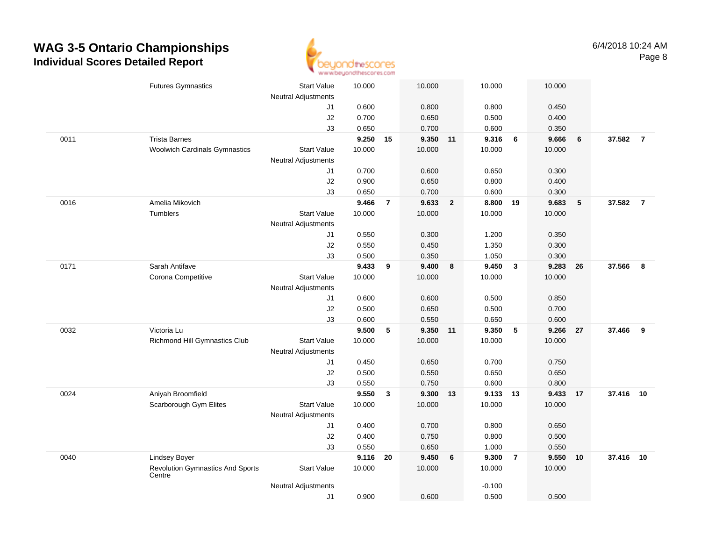

|      | <b>Futures Gymnastics</b>                         | <b>Start Value</b>         | 10.000 |                | 10.000   |              | 10.000   |                         | 10.000 |            |           |                |
|------|---------------------------------------------------|----------------------------|--------|----------------|----------|--------------|----------|-------------------------|--------|------------|-----------|----------------|
|      |                                                   | <b>Neutral Adjustments</b> |        |                |          |              |          |                         |        |            |           |                |
|      |                                                   | J1                         | 0.600  |                | 0.800    |              | 0.800    |                         | 0.450  |            |           |                |
|      |                                                   | J2                         | 0.700  |                | 0.650    |              | 0.500    |                         | 0.400  |            |           |                |
|      |                                                   | J3                         | 0.650  |                | 0.700    |              | 0.600    |                         | 0.350  |            |           |                |
| 0011 | <b>Trista Barnes</b>                              |                            | 9.250  | 15             | 9.350 11 |              | 9.316    | $6\phantom{1}6$         | 9.666  | 6          | 37.582    | $\overline{7}$ |
|      | <b>Woolwich Cardinals Gymnastics</b>              | <b>Start Value</b>         | 10.000 |                | 10.000   |              | 10.000   |                         | 10.000 |            |           |                |
|      |                                                   | <b>Neutral Adjustments</b> |        |                |          |              |          |                         |        |            |           |                |
|      |                                                   | J1                         | 0.700  |                | 0.600    |              | 0.650    |                         | 0.300  |            |           |                |
|      |                                                   | J2                         | 0.900  |                | 0.650    |              | 0.800    |                         | 0.400  |            |           |                |
|      |                                                   | J3                         | 0.650  |                | 0.700    |              | 0.600    |                         | 0.300  |            |           |                |
| 0016 | Amelia Mikovich                                   |                            | 9.466  | $\overline{7}$ | 9.633    | $\mathbf{2}$ | 8.800    | 19                      | 9.683  | $\sqrt{5}$ | 37.582    | $\overline{7}$ |
|      | Tumblers                                          | <b>Start Value</b>         | 10.000 |                | 10.000   |              | 10.000   |                         | 10.000 |            |           |                |
|      |                                                   | <b>Neutral Adjustments</b> |        |                |          |              |          |                         |        |            |           |                |
|      |                                                   | J1                         | 0.550  |                | 0.300    |              | 1.200    |                         | 0.350  |            |           |                |
|      |                                                   | J2                         | 0.550  |                | 0.450    |              | 1.350    |                         | 0.300  |            |           |                |
|      |                                                   | J3                         | 0.500  |                | 0.350    |              | 1.050    |                         | 0.300  |            |           |                |
| 0171 | Sarah Antifave                                    |                            | 9.433  | 9              | 9.400    | 8            | 9.450    | $\overline{\mathbf{3}}$ | 9.283  | 26         | 37.566    | 8              |
|      | Corona Competitive                                | <b>Start Value</b>         | 10.000 |                | 10.000   |              | 10.000   |                         | 10.000 |            |           |                |
|      |                                                   | <b>Neutral Adjustments</b> |        |                |          |              |          |                         |        |            |           |                |
|      |                                                   | J1                         | 0.600  |                | 0.600    |              | 0.500    |                         | 0.850  |            |           |                |
|      |                                                   | J2                         | 0.500  |                | 0.650    |              | 0.500    |                         | 0.700  |            |           |                |
|      |                                                   | J3                         | 0.600  |                | 0.550    |              | 0.650    |                         | 0.600  |            |           |                |
| 0032 | Victoria Lu                                       |                            | 9.500  | 5              | 9.350 11 |              | 9.350    | 5                       | 9.266  | 27         | 37.466    | 9              |
|      | Richmond Hill Gymnastics Club                     | <b>Start Value</b>         | 10.000 |                | 10.000   |              | 10.000   |                         | 10.000 |            |           |                |
|      |                                                   | Neutral Adjustments        |        |                |          |              |          |                         |        |            |           |                |
|      |                                                   | J1                         | 0.450  |                | 0.650    |              | 0.700    |                         | 0.750  |            |           |                |
|      |                                                   | J2                         | 0.500  |                | 0.550    |              | 0.650    |                         | 0.650  |            |           |                |
|      |                                                   | J3                         | 0.550  |                | 0.750    |              | 0.600    |                         | 0.800  |            |           |                |
| 0024 | Aniyah Broomfield                                 |                            | 9.550  | $\mathbf{3}$   | 9.300    | 13           | 9.133 13 |                         | 9.433  | 17         | 37.416    | 10             |
|      | Scarborough Gym Elites                            | <b>Start Value</b>         | 10.000 |                | 10.000   |              | 10.000   |                         | 10.000 |            |           |                |
|      |                                                   | Neutral Adjustments        |        |                |          |              |          |                         |        |            |           |                |
|      |                                                   | J1                         | 0.400  |                | 0.700    |              | 0.800    |                         | 0.650  |            |           |                |
|      |                                                   | J2                         | 0.400  |                | 0.750    |              | 0.800    |                         | 0.500  |            |           |                |
|      |                                                   | J3                         | 0.550  |                | 0.650    |              | 1.000    |                         | 0.550  |            |           |                |
| 0040 | <b>Lindsey Boyer</b>                              |                            | 9.116  | 20             | 9.450    | 6            | 9.300    | $\overline{7}$          | 9.550  | 10         | 37.416 10 |                |
|      | <b>Revolution Gymnastics And Sports</b><br>Centre | <b>Start Value</b>         | 10.000 |                | 10.000   |              | 10.000   |                         | 10.000 |            |           |                |
|      |                                                   | <b>Neutral Adjustments</b> |        |                |          |              | $-0.100$ |                         |        |            |           |                |
|      |                                                   | J1                         | 0.900  |                | 0.600    |              | 0.500    |                         | 0.500  |            |           |                |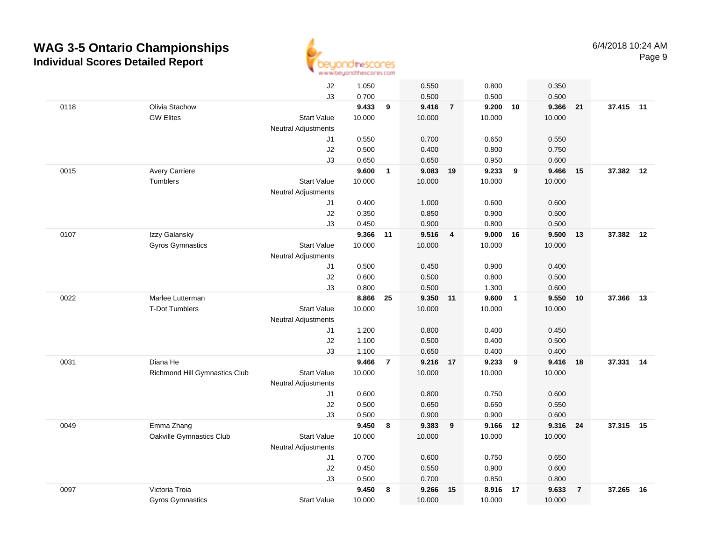

|      |                                      | J2                         | 1.050  |                | 0.550    |                | 0.800    |                | 0.350  |                |           |    |
|------|--------------------------------------|----------------------------|--------|----------------|----------|----------------|----------|----------------|--------|----------------|-----------|----|
|      |                                      | J3                         | 0.700  |                | 0.500    |                | 0.500    |                | 0.500  |                |           |    |
| 0118 | Olivia Stachow                       |                            | 9.433  | 9              | 9.416    | $\overline{7}$ | 9.200 10 |                | 9.366  | 21             | 37.415 11 |    |
|      | <b>GW Elites</b>                     | Start Value                | 10.000 |                | 10.000   |                | 10.000   |                | 10.000 |                |           |    |
|      |                                      | <b>Neutral Adjustments</b> |        |                |          |                |          |                |        |                |           |    |
|      |                                      | J1                         | 0.550  |                | 0.700    |                | 0.650    |                | 0.550  |                |           |    |
|      |                                      | J2                         | 0.500  |                | 0.400    |                | 0.800    |                | 0.750  |                |           |    |
|      |                                      | J3                         | 0.650  |                | 0.650    |                | 0.950    |                | 0.600  |                |           |    |
| 0015 | <b>Avery Carriere</b>                |                            | 9.600  | $\mathbf{1}$   | 9.083    | 19             | 9.233    | 9              | 9.466  | 15             | 37.382 12 |    |
|      | Tumblers                             | <b>Start Value</b>         | 10.000 |                | 10.000   |                | 10.000   |                | 10.000 |                |           |    |
|      |                                      | <b>Neutral Adjustments</b> |        |                |          |                |          |                |        |                |           |    |
|      |                                      | J1                         | 0.400  |                | 1.000    |                | 0.600    |                | 0.600  |                |           |    |
|      |                                      | J2                         | 0.350  |                | 0.850    |                | 0.900    |                | 0.500  |                |           |    |
|      |                                      | J3                         | 0.450  |                | 0.900    |                | 0.800    |                | 0.500  |                |           |    |
| 0107 | Izzy Galansky                        |                            | 9.366  | 11             | 9.516    | $\overline{4}$ | 9.000    | 16             | 9.500  | 13             | 37.382    | 12 |
|      | <b>Gyros Gymnastics</b>              | <b>Start Value</b>         | 10.000 |                | 10.000   |                | 10.000   |                | 10.000 |                |           |    |
|      |                                      | <b>Neutral Adjustments</b> |        |                |          |                |          |                |        |                |           |    |
|      |                                      | J1                         | 0.500  |                | 0.450    |                | 0.900    |                | 0.400  |                |           |    |
|      |                                      | J2                         | 0.600  |                | 0.500    |                | 0.800    |                | 0.500  |                |           |    |
|      |                                      | J3                         | 0.800  |                | 0.500    |                | 1.300    |                | 0.600  |                |           |    |
| 0022 | Marlee Lutterman                     |                            | 8.866  | 25             | 9.350 11 |                | 9.600    | $\overline{1}$ | 9.550  | 10             | 37.366    | 13 |
|      | <b>T-Dot Tumblers</b>                | <b>Start Value</b>         | 10.000 |                | 10.000   |                | 10.000   |                | 10.000 |                |           |    |
|      |                                      | <b>Neutral Adjustments</b> |        |                |          |                |          |                |        |                |           |    |
|      |                                      | J1                         | 1.200  |                | 0.800    |                | 0.400    |                | 0.450  |                |           |    |
|      |                                      | J2                         | 1.100  |                | 0.500    |                | 0.400    |                | 0.500  |                |           |    |
|      |                                      | J3                         | 1.100  |                | 0.650    |                | 0.400    |                | 0.400  |                |           |    |
| 0031 | Diana He                             |                            | 9.466  | $\overline{7}$ | 9.216    | 17             | 9.233    | 9              | 9.416  | 18             | 37.331    | 14 |
|      | <b>Richmond Hill Gymnastics Club</b> | <b>Start Value</b>         | 10.000 |                | 10.000   |                | 10.000   |                | 10.000 |                |           |    |
|      |                                      | <b>Neutral Adjustments</b> |        |                |          |                |          |                |        |                |           |    |
|      |                                      | J1                         | 0.600  |                | 0.800    |                | 0.750    |                | 0.600  |                |           |    |
|      |                                      | J2                         | 0.500  |                | 0.650    |                | 0.650    |                | 0.550  |                |           |    |
|      |                                      | J3                         | 0.500  |                | 0.900    |                | 0.900    |                | 0.600  |                |           |    |
| 0049 | Emma Zhang                           |                            | 9.450  | 8              | 9.383    | 9              | 9.166 12 |                | 9.316  | 24             | 37.315 15 |    |
|      | Oakville Gymnastics Club             | <b>Start Value</b>         | 10.000 |                | 10.000   |                | 10.000   |                | 10.000 |                |           |    |
|      |                                      | Neutral Adjustments        |        |                |          |                |          |                |        |                |           |    |
|      |                                      | J1                         | 0.700  |                | 0.600    |                | 0.750    |                | 0.650  |                |           |    |
|      |                                      | J2                         | 0.450  |                | 0.550    |                | 0.900    |                | 0.600  |                |           |    |
|      |                                      | J3                         | 0.500  |                | 0.700    |                | 0.850    |                | 0.800  |                |           |    |
| 0097 | Victoria Troia                       |                            | 9.450  | 8              | 9.266    | 15             | 8.916    | 17             | 9.633  | $\overline{7}$ | 37.265    | 16 |
|      | <b>Gyros Gymnastics</b>              | <b>Start Value</b>         | 10.000 |                | 10.000   |                | 10.000   |                | 10.000 |                |           |    |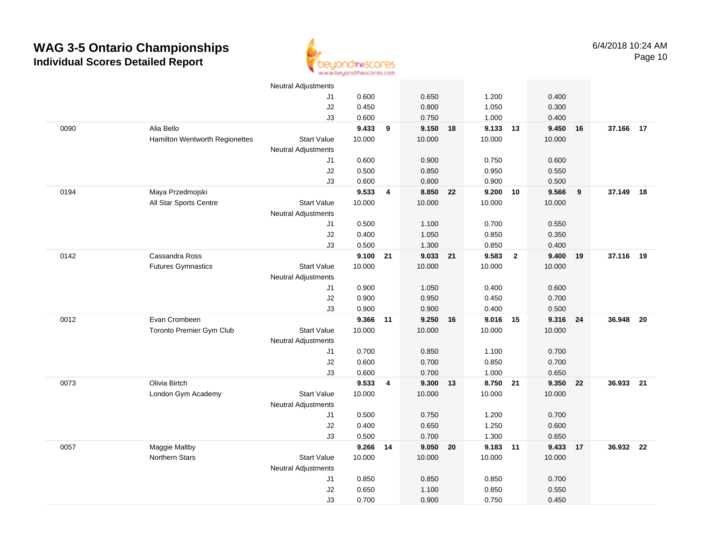

|      |                                | <b>Neutral Adjustments</b> |          |   |                |    |                |                |        |    |           |    |
|------|--------------------------------|----------------------------|----------|---|----------------|----|----------------|----------------|--------|----|-----------|----|
|      |                                | J1                         | 0.600    |   | 0.650          |    | 1.200          |                | 0.400  |    |           |    |
|      |                                | J2                         | 0.450    |   | 0.800          |    | 1.050          |                | 0.300  |    |           |    |
|      |                                | J3                         | 0.600    |   | 0.750          |    | 1.000          |                | 0.400  |    |           |    |
| 0090 | Alia Bello                     |                            | 9.433    | 9 | 9.150 18       |    | 9.133          | 13             | 9.450  | 16 | 37.166 17 |    |
|      | Hamilton Wentworth Regionettes | <b>Start Value</b>         | 10.000   |   | 10.000         |    | 10.000         |                | 10.000 |    |           |    |
|      |                                | Neutral Adjustments        |          |   |                |    |                |                |        |    |           |    |
|      |                                | J1                         | 0.600    |   | 0.900          |    | 0.750          |                | 0.600  |    |           |    |
|      |                                | J2                         | 0.500    |   | 0.850          |    | 0.950          |                | 0.550  |    |           |    |
|      |                                | J3                         | 0.600    |   | 0.800          |    | 0.900          |                | 0.500  |    |           |    |
| 0194 | Maya Przedmojski               |                            | 9.533    | 4 | 8.850 22       |    | 9.200          | 10             | 9.566  | 9  | 37.149    | 18 |
|      | All Star Sports Centre         | <b>Start Value</b>         | 10.000   |   | 10.000         |    | 10.000         |                | 10.000 |    |           |    |
|      |                                | <b>Neutral Adjustments</b> |          |   |                |    |                |                |        |    |           |    |
|      |                                | J1                         | 0.500    |   | 1.100          |    | 0.700          |                | 0.550  |    |           |    |
|      |                                | $\sf J2$                   | 0.400    |   | 1.050          |    | 0.850          |                | 0.350  |    |           |    |
|      |                                | J3                         | 0.500    |   | 1.300          |    | 0.850          |                | 0.400  |    |           |    |
| 0142 | Cassandra Ross                 |                            | 9.100 21 |   | 9.033 21       |    | 9.583          | $\overline{2}$ | 9.400  | 19 | 37.116 19 |    |
|      | <b>Futures Gymnastics</b>      | <b>Start Value</b>         | 10.000   |   | 10.000         |    | 10.000         |                | 10.000 |    |           |    |
|      |                                | <b>Neutral Adjustments</b> |          |   |                |    |                |                |        |    |           |    |
|      |                                | J1                         | 0.900    |   | 1.050          |    | 0.400          |                | 0.600  |    |           |    |
|      |                                | $\sf J2$                   | 0.900    |   | 0.950          |    | 0.450          |                | 0.700  |    |           |    |
|      |                                | J3                         | 0.900    |   | 0.900          |    | 0.400          |                | 0.500  |    |           |    |
| 0012 | Evan Crombeen                  |                            | 9.366 11 |   | 9.250          | 16 | 9.016          | 15             | 9.316  | 24 | 36.948    | 20 |
|      | Toronto Premier Gym Club       | <b>Start Value</b>         | 10.000   |   | 10.000         |    | 10.000         |                | 10.000 |    |           |    |
|      |                                | Neutral Adjustments        |          |   |                |    |                |                |        |    |           |    |
|      |                                | J1                         | 0.700    |   | 0.850          |    | 1.100          |                | 0.700  |    |           |    |
|      |                                | J2                         | 0.600    |   | 0.700          |    | 0.850          |                | 0.700  |    |           |    |
|      |                                | J3                         | 0.600    |   | 0.700          |    | 1.000          |                | 0.650  |    |           |    |
| 0073 | Olivia Birtch                  |                            | 9.533    | 4 | 9.300 13       |    | 8.750          | 21             | 9.350  | 22 | 36.933 21 |    |
|      | London Gym Academy             | <b>Start Value</b>         | 10.000   |   | 10.000         |    | 10.000         |                | 10.000 |    |           |    |
|      |                                | <b>Neutral Adjustments</b> | 0.500    |   |                |    |                |                | 0.700  |    |           |    |
|      |                                | J1<br>J2                   | 0.400    |   | 0.750<br>0.650 |    | 1.200<br>1.250 |                | 0.600  |    |           |    |
|      |                                | J3                         | 0.500    |   | 0.700          |    | 1.300          |                | 0.650  |    |           |    |
| 0057 | Maggie Maltby                  |                            | 9.266 14 |   | 9.050 20       |    | 9.183          | 11             | 9.433  | 17 | 36.932 22 |    |
|      | <b>Northern Stars</b>          | <b>Start Value</b>         | 10.000   |   | 10.000         |    | 10.000         |                | 10.000 |    |           |    |
|      |                                | <b>Neutral Adjustments</b> |          |   |                |    |                |                |        |    |           |    |
|      |                                | J1                         | 0.850    |   | 0.850          |    | 0.850          |                | 0.700  |    |           |    |
|      |                                | J2                         | 0.650    |   | 1.100          |    | 0.850          |                | 0.550  |    |           |    |
|      |                                | J3                         | 0.700    |   | 0.900          |    | 0.750          |                | 0.450  |    |           |    |
|      |                                |                            |          |   |                |    |                |                |        |    |           |    |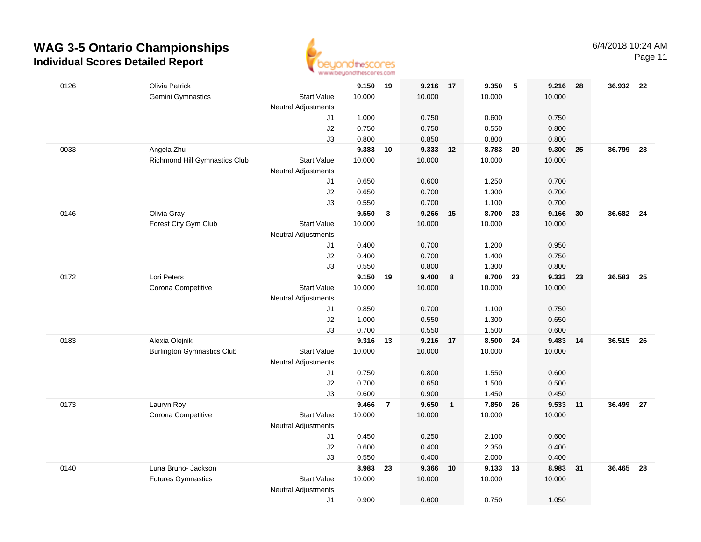

Page 11

| 0126 | Olivia Patrick                    |                            | 9.150 19       |                | 9.216 17       |                  | 9.350          | 5  | 9.216          | - 28 | 36.932 22 |      |
|------|-----------------------------------|----------------------------|----------------|----------------|----------------|------------------|----------------|----|----------------|------|-----------|------|
|      | Gemini Gymnastics                 | <b>Start Value</b>         | 10.000         |                | 10.000         |                  | 10.000         |    | 10.000         |      |           |      |
|      |                                   | <b>Neutral Adjustments</b> |                |                |                |                  |                |    |                |      |           |      |
|      |                                   | J1                         | 1.000          |                | 0.750          |                  | 0.600          |    | 0.750          |      |           |      |
|      |                                   | J2                         | 0.750          |                | 0.750          |                  | 0.550          |    | 0.800          |      |           |      |
|      |                                   | J3                         | 0.800          |                | 0.850          |                  | 0.800          |    | 0.800          |      |           |      |
| 0033 | Angela Zhu                        |                            | 9.383          | 10             | 9.333          | 12               | 8.783          | 20 | 9.300          | 25   | 36.799    | - 23 |
|      | Richmond Hill Gymnastics Club     | <b>Start Value</b>         | 10.000         |                | 10.000         |                  | 10.000         |    | 10.000         |      |           |      |
|      |                                   | <b>Neutral Adjustments</b> |                |                |                |                  |                |    |                |      |           |      |
|      |                                   | J1                         | 0.650          |                | 0.600          |                  | 1.250          |    | 0.700          |      |           |      |
|      |                                   | J2                         | 0.650          |                | 0.700          |                  | 1.300          |    | 0.700          |      |           |      |
|      |                                   | J3                         | 0.550          |                | 0.700          |                  | 1.100          |    | 0.700          |      |           |      |
| 0146 | Olivia Gray                       |                            | 9.550          | $\mathbf{3}$   | 9.266          | 15               | 8.700 23       |    | 9.166          | 30   | 36.682 24 |      |
|      | Forest City Gym Club              | <b>Start Value</b>         | 10.000         |                | 10.000         |                  | 10.000         |    | 10.000         |      |           |      |
|      |                                   | <b>Neutral Adjustments</b> |                |                |                |                  |                |    |                |      |           |      |
|      |                                   | J1                         | 0.400          |                | 0.700          |                  | 1.200          |    | 0.950          |      |           |      |
|      |                                   | J2                         | 0.400          |                | 0.700          |                  | 1.400          |    | 0.750          |      |           |      |
|      |                                   | J3                         | 0.550          |                | 0.800          |                  | 1.300          |    | 0.800          |      |           |      |
| 0172 | Lori Peters                       |                            | 9.150          | 19             | 9.400          | $\boldsymbol{8}$ | 8.700          | 23 | 9.333          | 23   | 36.583    | - 25 |
|      | Corona Competitive                | <b>Start Value</b>         | 10.000         |                | 10.000         |                  | 10.000         |    | 10.000         |      |           |      |
|      |                                   | <b>Neutral Adjustments</b> |                |                |                |                  |                |    |                |      |           |      |
|      |                                   | J1                         | 0.850          |                | 0.700          |                  | 1.100          |    | 0.750          |      |           |      |
|      |                                   | $\sf J2$                   | 1.000          |                | 0.550          |                  | 1.300          |    | 0.650          |      |           |      |
| 0183 | Alexia Olejnik                    | J3                         | 0.700<br>9.316 | 13             | 0.550<br>9.216 | 17               | 1.500<br>8.500 | 24 | 0.600<br>9.483 | 14   | 36.515 26 |      |
|      | <b>Burlington Gymnastics Club</b> | <b>Start Value</b>         | 10.000         |                | 10.000         |                  | 10.000         |    | 10.000         |      |           |      |
|      |                                   | <b>Neutral Adjustments</b> |                |                |                |                  |                |    |                |      |           |      |
|      |                                   | J1                         | 0.750          |                | 0.800          |                  | 1.550          |    | 0.600          |      |           |      |
|      |                                   | J2                         | 0.700          |                | 0.650          |                  | 1.500          |    | 0.500          |      |           |      |
|      |                                   | J3                         | 0.600          |                | 0.900          |                  | 1.450          |    | 0.450          |      |           |      |
| 0173 | Lauryn Roy                        |                            | 9.466          | $\overline{7}$ | 9.650          | $\overline{1}$   | 7.850          | 26 | 9.533          | 11   | 36.499 27 |      |
|      | Corona Competitive                | <b>Start Value</b>         | 10.000         |                | 10.000         |                  | 10.000         |    | 10.000         |      |           |      |
|      |                                   | <b>Neutral Adjustments</b> |                |                |                |                  |                |    |                |      |           |      |
|      |                                   | J1                         | 0.450          |                | 0.250          |                  | 2.100          |    | 0.600          |      |           |      |
|      |                                   | J2                         | 0.600          |                | 0.400          |                  | 2.350          |    | 0.400          |      |           |      |
|      |                                   | J3                         | 0.550          |                | 0.400          |                  | 2.000          |    | 0.400          |      |           |      |
| 0140 | Luna Bruno- Jackson               |                            | 8.983          | 23             | 9.366          | 10               | 9.133          | 13 | 8.983          | 31   | 36.465    | 28   |
|      | <b>Futures Gymnastics</b>         | <b>Start Value</b>         | 10.000         |                | 10.000         |                  | 10.000         |    | 10.000         |      |           |      |
|      |                                   | <b>Neutral Adjustments</b> |                |                |                |                  |                |    |                |      |           |      |
|      |                                   | J1                         | 0.900          |                | 0.600          |                  | 0.750          |    | 1.050          |      |           |      |
|      |                                   |                            |                |                |                |                  |                |    |                |      |           |      |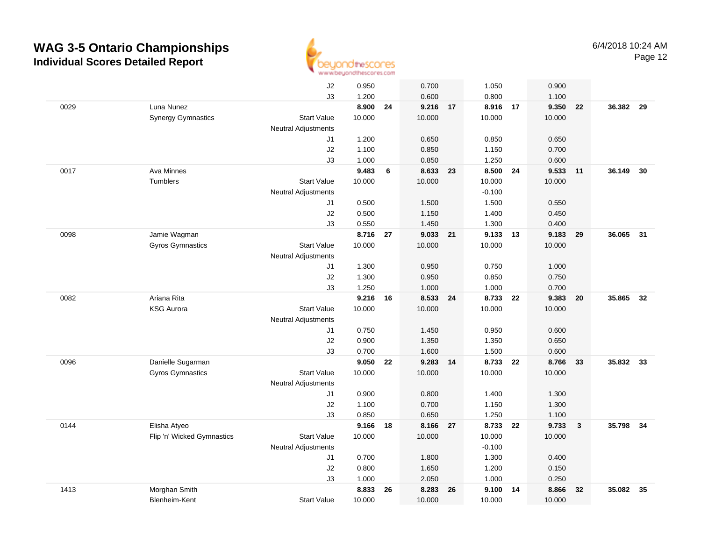

|      |                            | J2                         | 0.950  |    | 0.700    |    | 1.050    |      | 0.900    |                         |        |      |
|------|----------------------------|----------------------------|--------|----|----------|----|----------|------|----------|-------------------------|--------|------|
|      |                            | J3                         | 1.200  |    | 0.600    |    | 0.800    |      | 1.100    |                         |        |      |
| 0029 | Luna Nunez                 |                            | 8.900  | 24 | 9.216 17 |    | 8.916 17 |      | 9.350    | 22                      | 36.382 | 29   |
|      | <b>Synergy Gymnastics</b>  | <b>Start Value</b>         | 10.000 |    | 10.000   |    | 10.000   |      | 10.000   |                         |        |      |
|      |                            | <b>Neutral Adjustments</b> |        |    |          |    |          |      |          |                         |        |      |
|      |                            | J1                         | 1.200  |    | 0.650    |    | 0.850    |      | 0.650    |                         |        |      |
|      |                            | J2                         | 1.100  |    | 0.850    |    | 1.150    |      | 0.700    |                         |        |      |
|      |                            | J3                         | 1.000  |    | 0.850    |    | 1.250    |      | 0.600    |                         |        |      |
| 0017 | Ava Minnes                 |                            | 9.483  | 6  | 8.633    | 23 | 8.500    | - 24 | 9.533 11 |                         | 36.149 | 30   |
|      | Tumblers                   | <b>Start Value</b>         | 10.000 |    | 10.000   |    | 10.000   |      | 10.000   |                         |        |      |
|      |                            | <b>Neutral Adjustments</b> |        |    |          |    | $-0.100$ |      |          |                         |        |      |
|      |                            | J1                         | 0.500  |    | 1.500    |    | 1.500    |      | 0.550    |                         |        |      |
|      |                            | J2                         | 0.500  |    | 1.150    |    | 1.400    |      | 0.450    |                         |        |      |
|      |                            | J3                         | 0.550  |    | 1.450    |    | 1.300    |      | 0.400    |                         |        |      |
| 0098 | Jamie Wagman               |                            | 8.716  | 27 | 9.033    | 21 | 9.133 13 |      | 9.183 29 |                         | 36.065 | - 31 |
|      | Gyros Gymnastics           | <b>Start Value</b>         | 10.000 |    | 10.000   |    | 10.000   |      | 10.000   |                         |        |      |
|      |                            | <b>Neutral Adjustments</b> |        |    |          |    |          |      |          |                         |        |      |
|      |                            | J1                         | 1.300  |    | 0.950    |    | 0.750    |      | 1.000    |                         |        |      |
|      |                            | J2                         | 1.300  |    | 0.950    |    | 0.850    |      | 0.750    |                         |        |      |
|      |                            | J3                         | 1.250  |    | 1.000    |    | 1.000    |      | 0.700    |                         |        |      |
| 0082 | Ariana Rita                |                            | 9.216  | 16 | 8.533    | 24 | 8.733    | 22   | 9.383    | 20                      | 35.865 | 32   |
|      | <b>KSG Aurora</b>          | <b>Start Value</b>         | 10.000 |    | 10.000   |    | 10.000   |      | 10.000   |                         |        |      |
|      |                            | <b>Neutral Adjustments</b> |        |    |          |    |          |      |          |                         |        |      |
|      |                            | J1                         | 0.750  |    | 1.450    |    | 0.950    |      | 0.600    |                         |        |      |
|      |                            | J2                         | 0.900  |    | 1.350    |    | 1.350    |      | 0.650    |                         |        |      |
|      |                            | J3                         | 0.700  |    | 1.600    |    | 1.500    |      | 0.600    |                         |        |      |
| 0096 | Danielle Sugarman          |                            | 9.050  | 22 | 9.283    | 14 | 8.733    | 22   | 8.766    | 33                      | 35.832 | 33   |
|      | <b>Gyros Gymnastics</b>    | <b>Start Value</b>         | 10.000 |    | 10.000   |    | 10.000   |      | 10.000   |                         |        |      |
|      |                            | <b>Neutral Adjustments</b> |        |    |          |    |          |      |          |                         |        |      |
|      |                            | J1                         | 0.900  |    | 0.800    |    | 1.400    |      | 1.300    |                         |        |      |
|      |                            | J2                         | 1.100  |    | 0.700    |    | 1.150    |      | 1.300    |                         |        |      |
|      |                            | J3                         | 0.850  |    | 0.650    |    | 1.250    |      | 1.100    |                         |        |      |
| 0144 | Elisha Atyeo               |                            | 9.166  | 18 | 8.166    | 27 | 8.733    | 22   | 9.733    | $\overline{\mathbf{3}}$ | 35.798 | 34   |
|      | Flip 'n' Wicked Gymnastics | <b>Start Value</b>         | 10.000 |    | 10.000   |    | 10.000   |      | 10.000   |                         |        |      |
|      |                            | <b>Neutral Adjustments</b> |        |    |          |    | $-0.100$ |      |          |                         |        |      |
|      |                            | J1                         | 0.700  |    | 1.800    |    | 1.300    |      | 0.400    |                         |        |      |
|      |                            | J2                         | 0.800  |    | 1.650    |    | 1.200    |      | 0.150    |                         |        |      |
|      |                            | J3                         | 1.000  |    | 2.050    |    | 1.000    |      | 0.250    |                         |        |      |
| 1413 | Morghan Smith              |                            | 8.833  | 26 | 8.283    | 26 | 9.100    | - 14 | 8.866    | 32                      | 35.082 | 35   |
|      | Blenheim-Kent              | <b>Start Value</b>         | 10.000 |    | 10.000   |    | 10.000   |      | 10.000   |                         |        |      |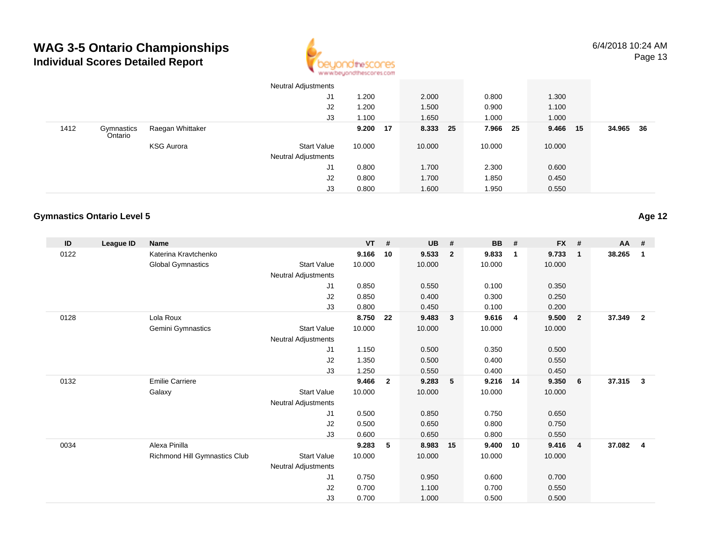

Neutral Adjustments

|      |                                   |                               | J <sub>1</sub>      | 1.200    |                | 2.000     |              | 0.800     |                | 1.300     |                |           |                         |
|------|-----------------------------------|-------------------------------|---------------------|----------|----------------|-----------|--------------|-----------|----------------|-----------|----------------|-----------|-------------------------|
|      |                                   |                               | J2                  | 1.200    |                | 1.500     |              | 0.900     |                | 1.100     |                |           |                         |
|      |                                   |                               | J3                  | 1.100    |                | 1.650     |              | 1.000     |                | 1.000     |                |           |                         |
| 1412 | Gymnastics<br>Ontario             | Raegan Whittaker              |                     | 9.200 17 |                | 8.333     | 25           | 7.966     | 25             | 9.466     | 15             | 34.965 36 |                         |
|      |                                   | <b>KSG Aurora</b>             | <b>Start Value</b>  | 10.000   |                | 10.000    |              | 10.000    |                | 10.000    |                |           |                         |
|      |                                   |                               | Neutral Adjustments |          |                |           |              |           |                |           |                |           |                         |
|      |                                   |                               | J1                  | 0.800    |                | 1.700     |              | 2.300     |                | 0.600     |                |           |                         |
|      |                                   |                               | J2                  | 0.800    |                | 1.700     |              | 1.850     |                | 0.450     |                |           |                         |
|      |                                   |                               | J3                  | 0.800    |                | 1.600     |              | 1.950     |                | 0.550     |                |           |                         |
|      |                                   |                               |                     |          |                |           |              |           |                |           |                |           |                         |
|      | <b>Gymnastics Ontario Level 5</b> |                               |                     |          |                |           |              |           |                |           |                |           | Age 12                  |
|      |                                   |                               |                     |          |                |           |              |           |                |           |                |           |                         |
| ID   | <b>League ID</b>                  | Name                          |                     | VT       | #              | <b>UB</b> | $\pmb{\#}$   | <b>BB</b> | #              | <b>FX</b> | #              | AA        | #                       |
| 0122 |                                   | Katerina Kravtchenko          |                     | 9.166    | 10             | 9.533     | $\mathbf{2}$ | 9.833     | $\mathbf{1}$   | 9.733     | $\mathbf{1}$   | 38.265    | $\overline{\mathbf{1}}$ |
|      |                                   | <b>Global Gymnastics</b>      | <b>Start Value</b>  | 10.000   |                | 10.000    |              | 10.000    |                | 10.000    |                |           |                         |
|      |                                   |                               | Neutral Adjustments |          |                |           |              |           |                |           |                |           |                         |
|      |                                   |                               | J1                  | 0.850    |                | 0.550     |              | 0.100     |                | 0.350     |                |           |                         |
|      |                                   |                               | J2                  | 0.850    |                | 0.400     |              | 0.300     |                | 0.250     |                |           |                         |
|      |                                   |                               | J3                  | 0.800    |                | 0.450     |              | 0.100     |                | 0.200     |                |           |                         |
| 0128 |                                   | Lola Roux                     |                     | 8.750 22 |                | 9.483     | $\mathbf{3}$ | 9.616     | $\overline{4}$ | 9.500     | $\overline{2}$ | 37.349 2  |                         |
|      |                                   | Gemini Gymnastics             | <b>Start Value</b>  | 10.000   |                | 10.000    |              | 10.000    |                | 10.000    |                |           |                         |
|      |                                   |                               | Neutral Adjustments |          |                |           |              |           |                |           |                |           |                         |
|      |                                   |                               | J1                  | 1.150    |                | 0.500     |              | 0.350     |                | 0.500     |                |           |                         |
|      |                                   |                               | J2                  | 1.350    |                | 0.500     |              | 0.400     |                | 0.550     |                |           |                         |
|      |                                   |                               | J3                  | 1.250    |                | 0.550     |              | 0.400     |                | 0.450     |                |           |                         |
| 0132 |                                   | <b>Emilie Carriere</b>        |                     | 9.466    | $\overline{2}$ | 9.283     | 5            | 9.216 14  |                | 9.350     | $6\phantom{1}$ | 37.315 3  |                         |
|      |                                   | Galaxy                        | <b>Start Value</b>  | 10.000   |                | 10.000    |              | 10.000    |                | 10.000    |                |           |                         |
|      |                                   |                               | Neutral Adjustments |          |                |           |              |           |                |           |                |           |                         |
|      |                                   |                               | J1                  | 0.500    |                | 0.850     |              | 0.750     |                | 0.650     |                |           |                         |
|      |                                   |                               | J2                  | 0.500    |                | 0.650     |              | 0.800     |                | 0.750     |                |           |                         |
|      |                                   |                               | J3                  | 0.600    |                | 0.650     |              | 0.800     |                | 0.550     |                |           |                         |
| 0034 |                                   | Alexa Pinilla                 |                     | 9.283    | 5              | 8.983     | 15           | 9.400 10  |                | 9.416     | 4              | 37.082    | $\overline{4}$          |
|      |                                   | Richmond Hill Gymnastics Club | <b>Start Value</b>  | 10.000   |                | 10.000    |              | 10.000    |                | 10.000    |                |           |                         |
|      |                                   |                               | Neutral Adjustments |          |                |           |              |           |                |           |                |           |                         |
|      |                                   |                               | J1                  | 0.750    |                | 0.950     |              | 0.600     |                | 0.700     |                |           |                         |
|      |                                   | $\sf J2$                      | 0.700               |          | 1.100          |           | 0.700        |           | 0.550          |           |                |           |                         |
|      |                                   |                               |                     |          |                |           |              |           |                |           |                |           |                         |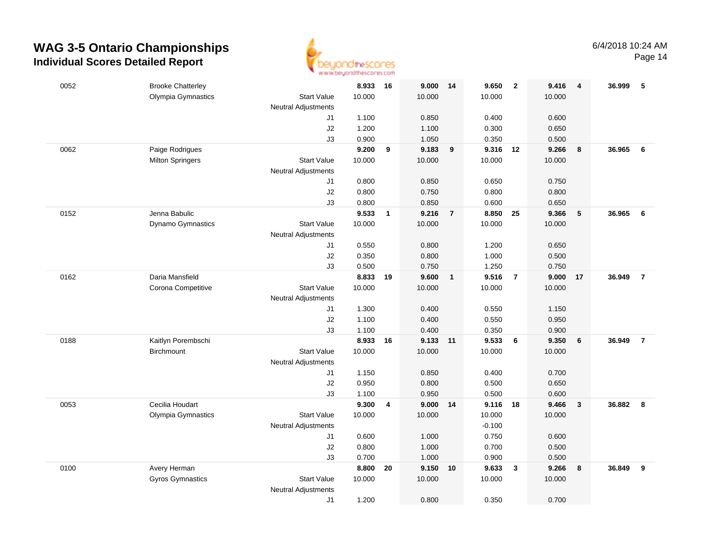

Page 14

| 0052 | <b>Brooke Chatterley</b> |                                  | 8.933  | 16                      | 9.000    | 14             | 9.650    | $\overline{\mathbf{2}}$ | 9.416  | 4            | 36.999 | 5              |
|------|--------------------------|----------------------------------|--------|-------------------------|----------|----------------|----------|-------------------------|--------|--------------|--------|----------------|
|      | Olympia Gymnastics       | <b>Start Value</b>               | 10.000 |                         | 10.000   |                | 10.000   |                         | 10.000 |              |        |                |
|      |                          | <b>Neutral Adjustments</b><br>J1 | 1.100  |                         | 0.850    |                | 0.400    |                         | 0.600  |              |        |                |
|      |                          | J2                               | 1.200  |                         | 1.100    |                | 0.300    |                         | 0.650  |              |        |                |
|      |                          | J3                               | 0.900  |                         | 1.050    |                | 0.350    |                         | 0.500  |              |        |                |
| 0062 | Paige Rodrigues          |                                  | 9.200  | 9                       | 9.183    | 9              | 9.316    | 12                      | 9.266  | 8            | 36.965 | 6              |
|      | <b>Milton Springers</b>  | <b>Start Value</b>               | 10.000 |                         | 10.000   |                | 10.000   |                         | 10.000 |              |        |                |
|      |                          | <b>Neutral Adjustments</b>       |        |                         |          |                |          |                         |        |              |        |                |
|      |                          | J1                               | 0.800  |                         | 0.850    |                | 0.650    |                         | 0.750  |              |        |                |
|      |                          | J2                               | 0.800  |                         | 0.750    |                | 0.800    |                         | 0.800  |              |        |                |
|      |                          | J3                               | 0.800  |                         | 0.850    |                | 0.600    |                         | 0.650  |              |        |                |
| 0152 | Jenna Babulic            |                                  | 9.533  | $\mathbf{1}$            | 9.216    | $\overline{7}$ | 8.850 25 |                         | 9.366  | 5            | 36.965 | 6              |
|      | Dynamo Gymnastics        | <b>Start Value</b>               | 10.000 |                         | 10.000   |                | 10.000   |                         | 10.000 |              |        |                |
|      |                          | Neutral Adjustments              |        |                         |          |                |          |                         |        |              |        |                |
|      |                          | J1                               | 0.550  |                         | 0.800    |                | 1.200    |                         | 0.650  |              |        |                |
|      |                          | J2                               | 0.350  |                         | 0.800    |                | 1.000    |                         | 0.500  |              |        |                |
|      |                          | J3                               | 0.500  |                         | 0.750    |                | 1.250    |                         | 0.750  |              |        |                |
| 0162 | Daria Mansfield          |                                  | 8.833  | 19                      | 9.600    | $\overline{1}$ | 9.516    | $\overline{7}$          | 9.000  | 17           | 36.949 | $\overline{7}$ |
|      | Corona Competitive       | <b>Start Value</b>               | 10.000 |                         | 10.000   |                | 10.000   |                         | 10.000 |              |        |                |
|      |                          | Neutral Adjustments<br>J1        | 1.300  |                         | 0.400    |                | 0.550    |                         | 1.150  |              |        |                |
|      |                          | J2                               | 1.100  |                         | 0.400    |                | 0.550    |                         | 0.950  |              |        |                |
|      |                          | J3                               | 1.100  |                         | 0.400    |                | 0.350    |                         | 0.900  |              |        |                |
| 0188 | Kaitlyn Porembschi       |                                  | 8.933  | 16                      | 9.133    | 11             | 9.533    | 6                       | 9.350  | 6            | 36.949 | $\overline{7}$ |
|      | <b>Birchmount</b>        | <b>Start Value</b>               | 10.000 |                         | 10.000   |                | 10.000   |                         | 10.000 |              |        |                |
|      |                          | Neutral Adjustments              |        |                         |          |                |          |                         |        |              |        |                |
|      |                          | J1                               | 1.150  |                         | 0.850    |                | 0.400    |                         | 0.700  |              |        |                |
|      |                          | J2                               | 0.950  |                         | 0.800    |                | 0.500    |                         | 0.650  |              |        |                |
|      |                          | J3                               | 1.100  |                         | 0.950    |                | 0.500    |                         | 0.600  |              |        |                |
| 0053 | Cecilia Houdart          |                                  | 9.300  | $\overline{\mathbf{4}}$ | 9.000 14 |                | 9.116 18 |                         | 9.466  | $\mathbf{3}$ | 36.882 | - 8            |
|      | Olympia Gymnastics       | <b>Start Value</b>               | 10.000 |                         | 10.000   |                | 10.000   |                         | 10.000 |              |        |                |
|      |                          | <b>Neutral Adjustments</b>       |        |                         |          |                | $-0.100$ |                         |        |              |        |                |
|      |                          | J1                               | 0.600  |                         | 1.000    |                | 0.750    |                         | 0.600  |              |        |                |
|      |                          | J2                               | 0.800  |                         | 1.000    |                | 0.700    |                         | 0.500  |              |        |                |
|      |                          | J3                               | 0.700  |                         | 1.000    |                | 0.900    |                         | 0.500  |              |        |                |
| 0100 | Avery Herman             |                                  | 8.800  | 20                      | 9.150    | 10             | 9.633    | $\mathbf{3}$            | 9.266  | 8            | 36.849 | 9              |
|      | <b>Gyros Gymnastics</b>  | <b>Start Value</b>               | 10.000 |                         | 10.000   |                | 10.000   |                         | 10.000 |              |        |                |
|      |                          | <b>Neutral Adjustments</b>       |        |                         | 0.800    |                | 0.350    |                         | 0.700  |              |        |                |
|      |                          | J1                               | 1.200  |                         |          |                |          |                         |        |              |        |                |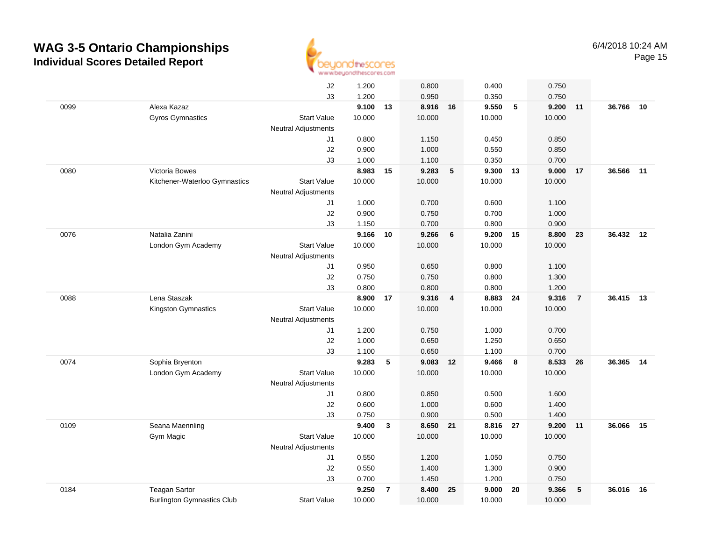

|      |                                   | J2                         | 1.200  |                | 0.800    |                | 0.400    |    | 0.750  |                |           |    |
|------|-----------------------------------|----------------------------|--------|----------------|----------|----------------|----------|----|--------|----------------|-----------|----|
|      |                                   | J3                         | 1.200  |                | 0.950    |                | 0.350    |    | 0.750  |                |           |    |
| 0099 | Alexa Kazaz                       |                            | 9.100  | 13             | 8.916 16 |                | 9.550    | 5  | 9.200  | 11             | 36.766    | 10 |
|      | Gyros Gymnastics                  | <b>Start Value</b>         | 10.000 |                | 10.000   |                | 10.000   |    | 10.000 |                |           |    |
|      |                                   | <b>Neutral Adjustments</b> |        |                |          |                |          |    |        |                |           |    |
|      |                                   | J1                         | 0.800  |                | 1.150    |                | 0.450    |    | 0.850  |                |           |    |
|      |                                   | J2                         | 0.900  |                | 1.000    |                | 0.550    |    | 0.850  |                |           |    |
|      |                                   | J3                         | 1.000  |                | 1.100    |                | 0.350    |    | 0.700  |                |           |    |
| 0080 | Victoria Bowes                    |                            | 8.983  | 15             | 9.283    | 5              | 9.300    | 13 | 9.000  | 17             | 36.566    | 11 |
|      | Kitchener-Waterloo Gymnastics     | <b>Start Value</b>         | 10.000 |                | 10.000   |                | 10.000   |    | 10.000 |                |           |    |
|      |                                   | <b>Neutral Adjustments</b> |        |                |          |                |          |    |        |                |           |    |
|      |                                   | J1                         | 1.000  |                | 0.700    |                | 0.600    |    | 1.100  |                |           |    |
|      |                                   | J2                         | 0.900  |                | 0.750    |                | 0.700    |    | 1.000  |                |           |    |
|      |                                   | J3                         | 1.150  |                | 0.700    |                | 0.800    |    | 0.900  |                |           |    |
| 0076 | Natalia Zanini                    |                            | 9.166  | 10             | 9.266    | 6              | 9.200    | 15 | 8.800  | 23             | 36.432 12 |    |
|      | London Gym Academy                | <b>Start Value</b>         | 10.000 |                | 10.000   |                | 10.000   |    | 10.000 |                |           |    |
|      |                                   | Neutral Adjustments        |        |                |          |                |          |    |        |                |           |    |
|      |                                   | J1                         | 0.950  |                | 0.650    |                | 0.800    |    | 1.100  |                |           |    |
|      |                                   | J2                         | 0.750  |                | 0.750    |                | 0.800    |    | 1.300  |                |           |    |
|      |                                   | J3                         | 0.800  |                | 0.800    |                | 0.800    |    | 1.200  |                |           |    |
| 0088 | Lena Staszak                      |                            | 8.900  | 17             | 9.316    | $\overline{4}$ | 8.883    | 24 | 9.316  | $\overline{7}$ | 36.415    | 13 |
|      | Kingston Gymnastics               | <b>Start Value</b>         | 10.000 |                | 10.000   |                | 10.000   |    | 10.000 |                |           |    |
|      |                                   | <b>Neutral Adjustments</b> |        |                |          |                |          |    |        |                |           |    |
|      |                                   | J1                         | 1.200  |                | 0.750    |                | 1.000    |    | 0.700  |                |           |    |
|      |                                   | J2                         | 1.000  |                | 0.650    |                | 1.250    |    | 0.650  |                |           |    |
|      |                                   | J3                         | 1.100  |                | 0.650    |                | 1.100    |    | 0.700  |                |           |    |
| 0074 | Sophia Bryenton                   |                            | 9.283  | 5              | 9.083    | 12             | 9.466    | 8  | 8.533  | 26             | 36.365    | 14 |
|      | London Gym Academy                | <b>Start Value</b>         | 10.000 |                | 10.000   |                | 10.000   |    | 10.000 |                |           |    |
|      |                                   | <b>Neutral Adjustments</b> |        |                |          |                |          |    |        |                |           |    |
|      |                                   | J1                         | 0.800  |                | 0.850    |                | 0.500    |    | 1.600  |                |           |    |
|      |                                   | J2                         | 0.600  |                | 1.000    |                | 0.600    |    | 1.400  |                |           |    |
|      |                                   | J3                         | 0.750  |                | 0.900    |                | 0.500    |    | 1.400  |                |           |    |
| 0109 | Seana Maennling                   |                            | 9.400  | $\mathbf{3}$   | 8.650 21 |                | 8.816 27 |    | 9.200  | 11             | 36.066    | 15 |
|      | Gym Magic                         | <b>Start Value</b>         | 10.000 |                | 10.000   |                | 10.000   |    | 10.000 |                |           |    |
|      |                                   | <b>Neutral Adjustments</b> |        |                |          |                |          |    |        |                |           |    |
|      |                                   | J1                         | 0.550  |                | 1.200    |                | 1.050    |    | 0.750  |                |           |    |
|      |                                   | J2<br>J3                   | 0.550  |                | 1.400    |                | 1.300    |    | 0.900  |                |           |    |
|      | <b>Teagan Sartor</b>              |                            | 0.700  |                | 1.450    |                | 1.200    |    | 0.750  |                | 36.016    | 16 |
| 0184 |                                   |                            | 9.250  | $\overline{7}$ | 8.400    | 25             | 9.000    | 20 | 9.366  | 5              |           |    |
|      | <b>Burlington Gymnastics Club</b> | <b>Start Value</b>         | 10.000 |                | 10.000   |                | 10.000   |    | 10.000 |                |           |    |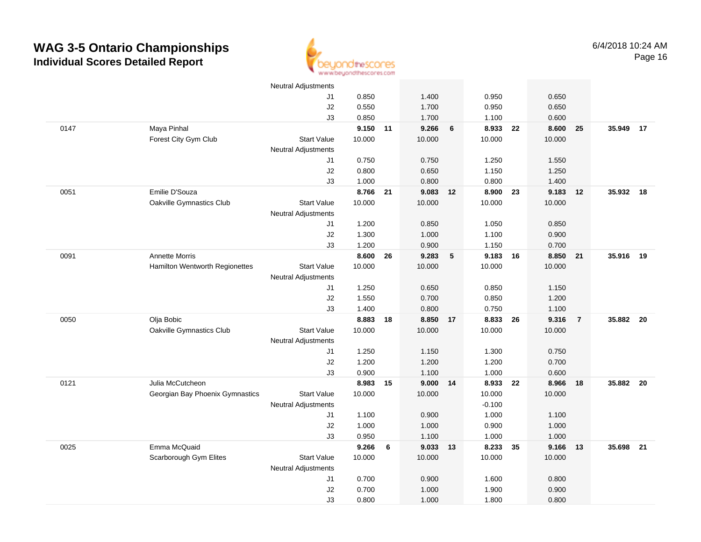

|      |                                 | <b>Neutral Adjustments</b> |                |    |                |                          |                |    |                |                |           |  |
|------|---------------------------------|----------------------------|----------------|----|----------------|--------------------------|----------------|----|----------------|----------------|-----------|--|
|      |                                 | J1                         | 0.850          |    | 1.400          |                          | 0.950          |    | 0.650          |                |           |  |
|      |                                 | J2                         | 0.550          |    | 1.700          |                          | 0.950          |    | 0.650          |                |           |  |
|      |                                 | J3                         | 0.850          |    | 1.700          |                          | 1.100          |    | 0.600          |                |           |  |
| 0147 | Maya Pinhal                     |                            | 9.150 11       |    | 9.266          | 6                        | 8.933          | 22 | 8.600          | 25             | 35.949 17 |  |
|      | Forest City Gym Club            | <b>Start Value</b>         | 10.000         |    | 10.000         |                          | 10.000         |    | 10.000         |                |           |  |
|      |                                 | <b>Neutral Adjustments</b> |                |    |                |                          |                |    |                |                |           |  |
|      |                                 | J1                         | 0.750          |    | 0.750          |                          | 1.250          |    | 1.550          |                |           |  |
|      |                                 | J2                         | 0.800          |    | 0.650          |                          | 1.150          |    | 1.250          |                |           |  |
|      |                                 | J3                         | 1.000          |    | 0.800          |                          | 0.800          |    | 1.400          |                |           |  |
| 0051 | Emilie D'Souza                  |                            | 8.766 21       |    | 9.083 12       |                          | 8.900 23       |    | 9.183          | 12             | 35.932 18 |  |
|      | Oakville Gymnastics Club        | <b>Start Value</b>         | 10.000         |    | 10.000         |                          | 10.000         |    | 10.000         |                |           |  |
|      |                                 | <b>Neutral Adjustments</b> |                |    |                |                          |                |    |                |                |           |  |
|      |                                 | J1                         | 1.200          |    | 0.850          |                          | 1.050          |    | 0.850          |                |           |  |
|      |                                 | J2                         | 1.300          |    | 1.000          |                          | 1.100          |    | 0.900          |                |           |  |
|      |                                 | J3                         | 1.200          |    | 0.900          |                          | 1.150          |    | 0.700          |                |           |  |
| 0091 | <b>Annette Morris</b>           |                            | 8.600          | 26 | 9.283          | $\overline{\phantom{0}}$ | 9.183          | 16 | 8.850          | 21             | 35.916 19 |  |
|      | Hamilton Wentworth Regionettes  | <b>Start Value</b>         | 10.000         |    | 10.000         |                          | 10.000         |    | 10.000         |                |           |  |
|      |                                 | <b>Neutral Adjustments</b> |                |    |                |                          |                |    |                |                |           |  |
|      |                                 | J1                         | 1.250          |    | 0.650          |                          | 0.850          |    | 1.150          |                |           |  |
|      |                                 | $\sf J2$                   | 1.550          |    | 0.700          |                          | 0.850          |    | 1.200          |                |           |  |
|      |                                 | J3                         | 1.400          |    | 0.800          |                          | 0.750          |    | 1.100          |                |           |  |
| 0050 | Olja Bobic                      |                            | 8.883          | 18 | 8.850          | 17                       | 8.833          | 26 | 9.316          | $\overline{7}$ | 35.882 20 |  |
|      | Oakville Gymnastics Club        | <b>Start Value</b>         | 10.000         |    | 10.000         |                          | 10.000         |    | 10.000         |                |           |  |
|      |                                 | <b>Neutral Adjustments</b> |                |    |                |                          |                |    |                |                |           |  |
|      |                                 | J1                         | 1.250          |    | 1.150          |                          | 1.300          |    | 0.750          |                |           |  |
|      |                                 | J2                         | 1.200          |    | 1.200          |                          | 1.200          |    | 0.700          |                |           |  |
|      |                                 | J3                         | 0.900          |    | 1.100          |                          | 1.000          |    | 0.600          |                |           |  |
| 0121 | Julia McCutcheon                |                            | 8.983 15       |    | $9.000$ 14     |                          | 8.933 22       |    | 8.966          | 18             | 35.882 20 |  |
|      | Georgian Bay Phoenix Gymnastics | <b>Start Value</b>         | 10.000         |    | 10.000         |                          | 10.000         |    | 10.000         |                |           |  |
|      |                                 | <b>Neutral Adjustments</b> |                |    |                |                          | $-0.100$       |    |                |                |           |  |
|      |                                 | J1<br>J2                   | 1.100<br>1.000 |    | 0.900<br>1.000 |                          | 1.000          |    | 1.100<br>1.000 |                |           |  |
|      |                                 | J3                         | 0.950          |    | 1.100          |                          | 0.900<br>1.000 |    | 1.000          |                |           |  |
| 0025 | Emma McQuaid                    |                            | 9.266          | 6  | 9.033 13       |                          | 8.233          | 35 | 9.166          | 13             | 35.698 21 |  |
|      | Scarborough Gym Elites          | <b>Start Value</b>         | 10.000         |    | 10.000         |                          | 10.000         |    | 10.000         |                |           |  |
|      |                                 | <b>Neutral Adjustments</b> |                |    |                |                          |                |    |                |                |           |  |
|      |                                 | J1                         | 0.700          |    | 0.900          |                          | 1.600          |    | 0.800          |                |           |  |
|      |                                 | J2                         | 0.700          |    | 1.000          |                          | 1.900          |    | 0.900          |                |           |  |
|      |                                 | J3                         | 0.800          |    | 1.000          |                          | 1.800          |    | 0.800          |                |           |  |
|      |                                 |                            |                |    |                |                          |                |    |                |                |           |  |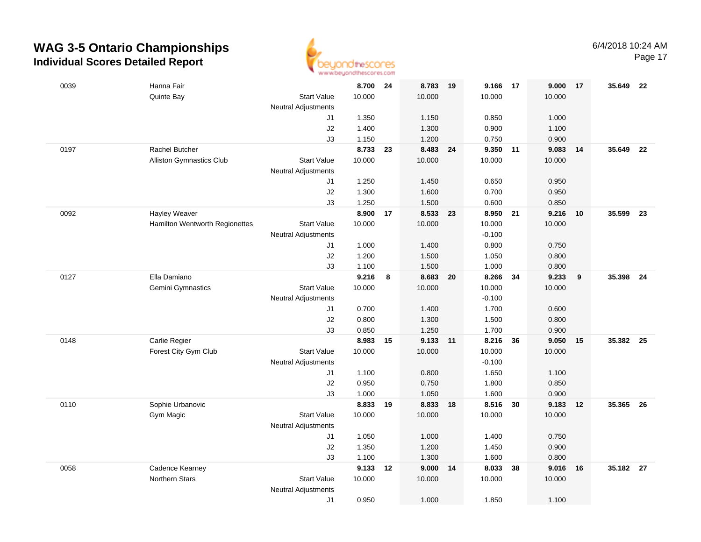

Page 17

| 0039 | Hanna Fair                      |                            | 8.700          | 24 | 8.783          | $-19$ | 9.166          | 17 | 9.000          | 17  | 35.649    | 22   |
|------|---------------------------------|----------------------------|----------------|----|----------------|-------|----------------|----|----------------|-----|-----------|------|
|      | Quinte Bay                      | <b>Start Value</b>         | 10.000         |    | 10.000         |       | 10.000         |    | 10.000         |     |           |      |
|      |                                 | <b>Neutral Adjustments</b> |                |    |                |       |                |    |                |     |           |      |
|      |                                 | J1                         | 1.350          |    | 1.150          |       | 0.850          |    | 1.000          |     |           |      |
|      |                                 | J2                         | 1.400          |    | 1.300          |       | 0.900          |    | 1.100          |     |           |      |
|      |                                 | J3                         | 1.150          |    | 1.200          |       | 0.750          |    | 0.900          |     |           |      |
| 0197 | <b>Rachel Butcher</b>           |                            | 8.733          | 23 | 8.483          | 24    | 9.350          | 11 | 9.083          | -14 | 35.649    | 22   |
|      | <b>Alliston Gymnastics Club</b> | <b>Start Value</b>         | 10.000         |    | 10.000         |       | 10.000         |    | 10.000         |     |           |      |
|      |                                 | <b>Neutral Adjustments</b> |                |    |                |       |                |    |                |     |           |      |
|      |                                 | J1                         | 1.250          |    | 1.450          |       | 0.650          |    | 0.950          |     |           |      |
|      |                                 | J2                         | 1.300          |    | 1.600          |       | 0.700          |    | 0.950          |     |           |      |
|      |                                 | J3                         | 1.250          |    | 1.500          |       | 0.600          |    | 0.850          |     |           |      |
| 0092 | <b>Hayley Weaver</b>            |                            | 8.900          | 17 | 8.533          | 23    | 8.950 21       |    | 9.216          | 10  | 35.599    | 23   |
|      | Hamilton Wentworth Regionettes  | <b>Start Value</b>         | 10.000         |    | 10.000         |       | 10.000         |    | 10.000         |     |           |      |
|      |                                 | <b>Neutral Adjustments</b> |                |    |                |       | $-0.100$       |    |                |     |           |      |
|      |                                 | J1<br>J2                   | 1.000<br>1.200 |    | 1.400<br>1.500 |       | 0.800<br>1.050 |    | 0.750<br>0.800 |     |           |      |
|      |                                 | J3                         | 1.100          |    | 1.500          |       | 1.000          |    | 0.800          |     |           |      |
| 0127 | Ella Damiano                    |                            | 9.216          | 8  | 8.683 20       |       | 8.266          | 34 | 9.233          | 9   | 35.398    | - 24 |
|      | Gemini Gymnastics               | <b>Start Value</b>         | 10.000         |    | 10.000         |       | 10.000         |    | 10.000         |     |           |      |
|      |                                 | <b>Neutral Adjustments</b> |                |    |                |       | $-0.100$       |    |                |     |           |      |
|      |                                 | J1                         | 0.700          |    | 1.400          |       | 1.700          |    | 0.600          |     |           |      |
|      |                                 | J2                         | 0.800          |    | 1.300          |       | 1.500          |    | 0.800          |     |           |      |
|      |                                 | J3                         | 0.850          |    | 1.250          |       | 1.700          |    | 0.900          |     |           |      |
| 0148 | Carlie Regier                   |                            | 8.983          | 15 | 9.133          | $-11$ | 8.216          | 36 | 9.050          | 15  | 35.382    | - 25 |
|      | Forest City Gym Club            | <b>Start Value</b>         | 10.000         |    | 10.000         |       | 10.000         |    | 10.000         |     |           |      |
|      |                                 | <b>Neutral Adjustments</b> |                |    |                |       | $-0.100$       |    |                |     |           |      |
|      |                                 | J1                         | 1.100          |    | 0.800          |       | 1.650          |    | 1.100          |     |           |      |
|      |                                 | J2                         | 0.950          |    | 0.750          |       | 1.800          |    | 0.850          |     |           |      |
|      |                                 | J3                         | 1.000          |    | 1.050          |       | 1.600          |    | 0.900          |     |           |      |
| 0110 | Sophie Urbanovic                |                            | 8.833 19       |    | 8.833 18       |       | 8.516          | 30 | 9.183          | 12  | 35.365 26 |      |
|      | Gym Magic                       | <b>Start Value</b>         | 10.000         |    | 10.000         |       | 10.000         |    | 10.000         |     |           |      |
|      |                                 | <b>Neutral Adjustments</b> |                |    |                |       |                |    |                |     |           |      |
|      |                                 | J1                         | 1.050          |    | 1.000          |       | 1.400          |    | 0.750          |     |           |      |
|      |                                 | J2                         | 1.350          |    | 1.200          |       | 1.450          |    | 0.900          |     |           |      |
|      |                                 | J3                         | 1.100          |    | 1.300          |       | 1.600          |    | 0.800          |     |           |      |
| 0058 | Cadence Kearney                 |                            | 9.133          | 12 | 9.000          | 14    | 8.033          | 38 | 9.016          | 16  | 35.182 27 |      |
|      | Northern Stars                  | <b>Start Value</b>         | 10.000         |    | 10.000         |       | 10.000         |    | 10.000         |     |           |      |
|      |                                 | Neutral Adjustments        |                |    |                |       |                |    |                |     |           |      |
|      |                                 | J1                         | 0.950          |    | 1.000          |       | 1.850          |    | 1.100          |     |           |      |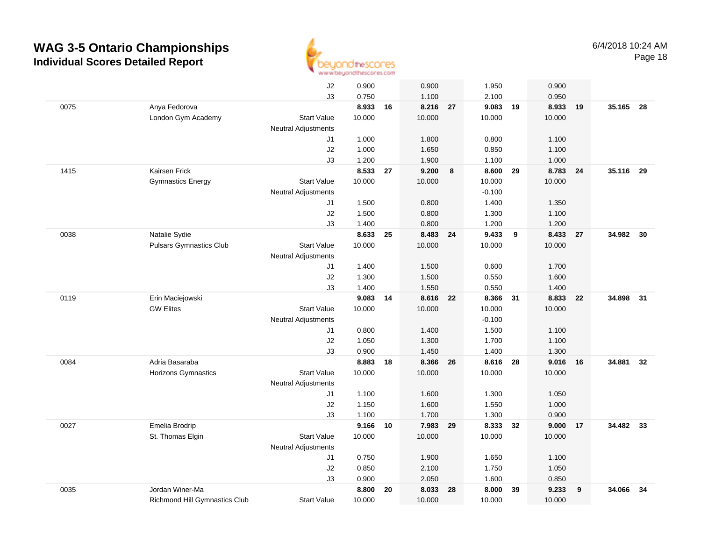

|      |                                | J2                         | 0.900  |    | 0.900    |    | 1.950    |    | 0.900    |    |           |    |
|------|--------------------------------|----------------------------|--------|----|----------|----|----------|----|----------|----|-----------|----|
|      |                                | J3                         | 0.750  |    | 1.100    |    | 2.100    |    | 0.950    |    |           |    |
| 0075 | Anya Fedorova                  |                            | 8.933  | 16 | 8.216    | 27 | 9.083    | 19 | 8.933    | 19 | 35.165 28 |    |
|      | London Gym Academy             | <b>Start Value</b>         | 10.000 |    | 10.000   |    | 10.000   |    | 10.000   |    |           |    |
|      |                                | <b>Neutral Adjustments</b> |        |    |          |    |          |    |          |    |           |    |
|      |                                | J1                         | 1.000  |    | 1.800    |    | 0.800    |    | 1.100    |    |           |    |
|      |                                | J2                         | 1.000  |    | 1.650    |    | 0.850    |    | 1.100    |    |           |    |
|      |                                | J3                         | 1.200  |    | 1.900    |    | 1.100    |    | 1.000    |    |           |    |
| 1415 | Kairsen Frick                  |                            | 8.533  | 27 | 9.200    | 8  | 8.600    | 29 | 8.783    | 24 | 35.116 29 |    |
|      | <b>Gymnastics Energy</b>       | <b>Start Value</b>         | 10.000 |    | 10.000   |    | 10.000   |    | 10.000   |    |           |    |
|      |                                | <b>Neutral Adjustments</b> |        |    |          |    | $-0.100$ |    |          |    |           |    |
|      |                                | J1                         | 1.500  |    | 0.800    |    | 1.400    |    | 1.350    |    |           |    |
|      |                                | J2                         | 1.500  |    | 0.800    |    | 1.300    |    | 1.100    |    |           |    |
|      |                                | J3                         | 1.400  |    | 0.800    |    | 1.200    |    | 1.200    |    |           |    |
| 0038 | Natalie Sydie                  |                            | 8.633  | 25 | 8.483 24 |    | 9.433    | 9  | 8.433 27 |    | 34.982    | 30 |
|      | <b>Pulsars Gymnastics Club</b> | <b>Start Value</b>         | 10.000 |    | 10.000   |    | 10.000   |    | 10.000   |    |           |    |
|      |                                | <b>Neutral Adjustments</b> |        |    |          |    |          |    |          |    |           |    |
|      |                                | J1                         | 1.400  |    | 1.500    |    | 0.600    |    | 1.700    |    |           |    |
|      |                                | J2                         | 1.300  |    | 1.500    |    | 0.550    |    | 1.600    |    |           |    |
|      |                                | J3                         | 1.400  |    | 1.550    |    | 0.550    |    | 1.400    |    |           |    |
| 0119 | Erin Maciejowski               |                            | 9.083  | 14 | 8.616    | 22 | 8.366    | 31 | 8.833    | 22 | 34.898    | 31 |
|      | <b>GW Elites</b>               | <b>Start Value</b>         | 10.000 |    | 10.000   |    | 10.000   |    | 10.000   |    |           |    |
|      |                                | <b>Neutral Adjustments</b> |        |    |          |    | $-0.100$ |    |          |    |           |    |
|      |                                | J1                         | 0.800  |    | 1.400    |    | 1.500    |    | 1.100    |    |           |    |
|      |                                | J2                         | 1.050  |    | 1.300    |    | 1.700    |    | 1.100    |    |           |    |
|      |                                | J3                         | 0.900  |    | 1.450    |    | 1.400    |    | 1.300    |    |           |    |
| 0084 | Adria Basaraba                 |                            | 8.883  | 18 | 8.366    | 26 | 8.616    | 28 | 9.016    | 16 | 34.881    | 32 |
|      | Horizons Gymnastics            | <b>Start Value</b>         | 10.000 |    | 10.000   |    | 10.000   |    | 10.000   |    |           |    |
|      |                                | <b>Neutral Adjustments</b> |        |    |          |    |          |    |          |    |           |    |
|      |                                | J1                         | 1.100  |    | 1.600    |    | 1.300    |    | 1.050    |    |           |    |
|      |                                | J2                         | 1.150  |    | 1.600    |    | 1.550    |    | 1.000    |    |           |    |
|      |                                | J3                         | 1.100  |    | 1.700    |    | 1.300    |    | 0.900    |    |           |    |
| 0027 | Emelia Brodrip                 |                            | 9.166  | 10 | 7.983    | 29 | 8.333 32 |    | 9.000 17 |    | 34.482 33 |    |
|      | St. Thomas Elgin               | <b>Start Value</b>         | 10.000 |    | 10.000   |    | 10.000   |    | 10.000   |    |           |    |
|      |                                | <b>Neutral Adjustments</b> |        |    |          |    |          |    |          |    |           |    |
|      |                                | J1                         | 0.750  |    | 1.900    |    | 1.650    |    | 1.100    |    |           |    |
|      |                                | J2                         | 0.850  |    | 2.100    |    | 1.750    |    | 1.050    |    |           |    |
|      |                                | J3                         | 0.900  |    | 2.050    |    | 1.600    |    | 0.850    |    |           |    |
| 0035 | Jordan Winer-Ma                |                            | 8.800  | 20 | 8.033    | 28 | 8.000    | 39 | 9.233    | 9  | 34.066    | 34 |
|      | Richmond Hill Gymnastics Club  | <b>Start Value</b>         | 10.000 |    | 10.000   |    | 10.000   |    | 10.000   |    |           |    |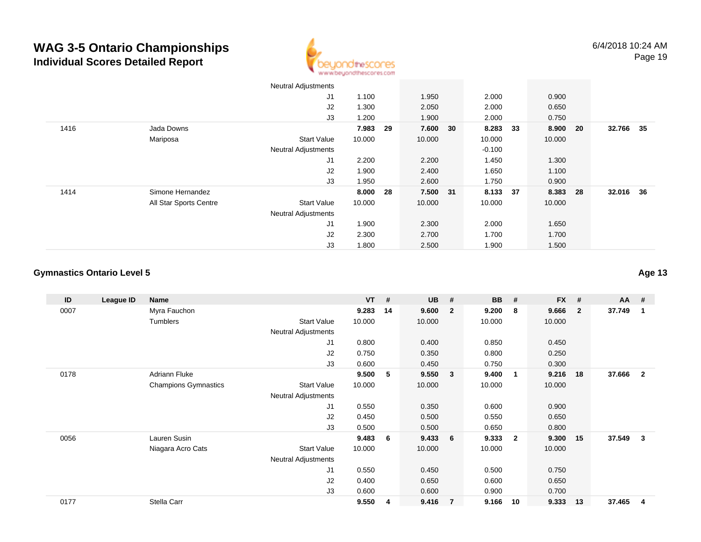

| 32.766<br>35 |
|--------------|
|              |
|              |
|              |
|              |
|              |
| 32.016 36    |
|              |
|              |
|              |
|              |
|              |
|              |

#### **Gymnastics Ontario Level 5**

| ID   | League ID | Name                        |                     | $VT$ # |    | <b>UB</b> | #              | <b>BB</b> | #                       | <b>FX</b> | #              | AA     | #              |
|------|-----------|-----------------------------|---------------------|--------|----|-----------|----------------|-----------|-------------------------|-----------|----------------|--------|----------------|
| 0007 |           | Myra Fauchon                |                     | 9.283  | 14 | 9.600     | $\mathbf{2}$   | 9.200     | 8                       | 9.666     | $\overline{2}$ | 37.749 | $\mathbf 1$    |
|      |           | Tumblers                    | <b>Start Value</b>  | 10.000 |    | 10.000    |                | 10.000    |                         | 10.000    |                |        |                |
|      |           |                             | Neutral Adjustments |        |    |           |                |           |                         |           |                |        |                |
|      |           |                             | J1                  | 0.800  |    | 0.400     |                | 0.850     |                         | 0.450     |                |        |                |
|      |           |                             | J <sub>2</sub>      | 0.750  |    | 0.350     |                | 0.800     |                         | 0.250     |                |        |                |
|      |           |                             | J3                  | 0.600  |    | 0.450     |                | 0.750     |                         | 0.300     |                |        |                |
| 0178 |           | Adriann Fluke               |                     | 9.500  | 5  | 9.550     | 3              | 9.400     | $\overline{\mathbf{1}}$ | 9.216     | 18             | 37.666 | $\overline{2}$ |
|      |           | <b>Champions Gymnastics</b> | <b>Start Value</b>  | 10.000 |    | 10.000    |                | 10.000    |                         | 10.000    |                |        |                |
|      |           |                             | Neutral Adjustments |        |    |           |                |           |                         |           |                |        |                |
|      |           |                             | J1                  | 0.550  |    | 0.350     |                | 0.600     |                         | 0.900     |                |        |                |
|      |           |                             | J2                  | 0.450  |    | 0.500     |                | 0.550     |                         | 0.650     |                |        |                |
|      |           |                             | J3                  | 0.500  |    | 0.500     |                | 0.650     |                         | 0.800     |                |        |                |
| 0056 |           | Lauren Susin                |                     | 9.483  | 6  | 9.433     | 6              | 9.333     | $\overline{\mathbf{2}}$ | 9.300     | 15             | 37.549 | 3              |
|      |           | Niagara Acro Cats           | <b>Start Value</b>  | 10.000 |    | 10.000    |                | 10.000    |                         | 10.000    |                |        |                |
|      |           |                             | Neutral Adjustments |        |    |           |                |           |                         |           |                |        |                |
|      |           |                             | J <sub>1</sub>      | 0.550  |    | 0.450     |                | 0.500     |                         | 0.750     |                |        |                |
|      |           |                             | J2                  | 0.400  |    | 0.650     |                | 0.600     |                         | 0.650     |                |        |                |
|      |           |                             | J3                  | 0.600  |    | 0.600     |                | 0.900     |                         | 0.700     |                |        |                |
| 0177 |           | Stella Carr                 |                     | 9.550  | 4  | 9.416     | $\overline{7}$ | 9.166     | 10                      | 9.333     | 13             | 37.465 | 4              |

**Age 13**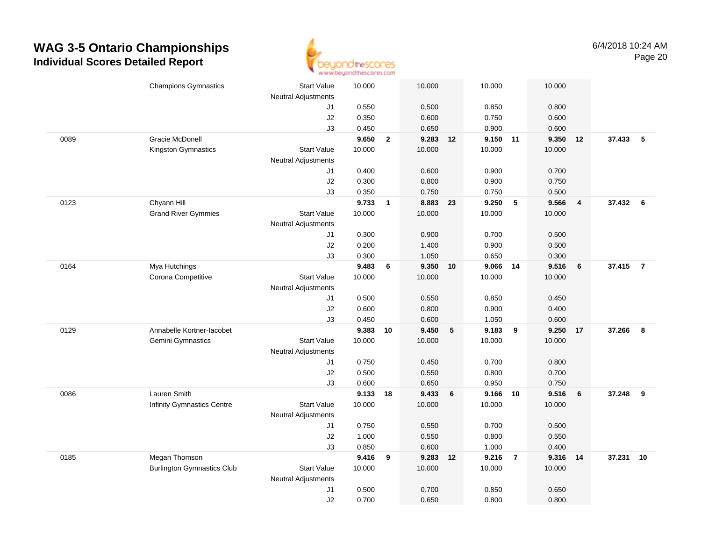

|      | <b>Champions Gymnastics</b>       | <b>Start Value</b>         | 10.000 |                | 10.000   |    | 10.000   |                 | 10.000 |                         |          |     |
|------|-----------------------------------|----------------------------|--------|----------------|----------|----|----------|-----------------|--------|-------------------------|----------|-----|
|      |                                   | <b>Neutral Adjustments</b> |        |                |          |    |          |                 |        |                         |          |     |
|      |                                   | J1                         | 0.550  |                | 0.500    |    | 0.850    |                 | 0.800  |                         |          |     |
|      |                                   | J2                         | 0.350  |                | 0.600    |    | 0.750    |                 | 0.600  |                         |          |     |
|      |                                   | J3                         | 0.450  |                | 0.650    |    | 0.900    |                 | 0.600  |                         |          |     |
| 0089 | <b>Gracie McDonell</b>            |                            | 9.650  | $\overline{2}$ | 9.283 12 |    | 9.150 11 |                 | 9.350  | 12                      | 37.433   | - 5 |
|      | Kingston Gymnastics               | <b>Start Value</b>         | 10.000 |                | 10.000   |    | 10.000   |                 | 10.000 |                         |          |     |
|      |                                   | <b>Neutral Adjustments</b> |        |                |          |    |          |                 |        |                         |          |     |
|      |                                   | J1                         | 0.400  |                | 0.600    |    | 0.900    |                 | 0.700  |                         |          |     |
|      |                                   | J2                         | 0.300  |                | 0.800    |    | 0.900    |                 | 0.750  |                         |          |     |
|      |                                   | J3                         | 0.350  |                | 0.750    |    | 0.750    |                 | 0.500  |                         |          |     |
| 0123 | Chyann Hill                       |                            | 9.733  | $\mathbf{1}$   | 8.883    | 23 | 9.250    | $5\phantom{.0}$ | 9.566  | $\overline{\mathbf{4}}$ | 37.432 6 |     |
|      | <b>Grand River Gymmies</b>        | <b>Start Value</b>         | 10.000 |                | 10.000   |    | 10.000   |                 | 10.000 |                         |          |     |
|      |                                   | <b>Neutral Adjustments</b> |        |                |          |    |          |                 |        |                         |          |     |
|      |                                   | J1                         | 0.300  |                | 0.900    |    | 0.700    |                 | 0.500  |                         |          |     |
|      |                                   | J2                         | 0.200  |                | 1.400    |    | 0.900    |                 | 0.500  |                         |          |     |
|      |                                   | J3                         | 0.300  |                | 1.050    |    | 0.650    |                 | 0.300  |                         |          |     |
| 0164 | Mya Hutchings                     |                            | 9.483  | 6              | 9.350    | 10 | 9.066 14 |                 | 9.516  | 6                       | 37.415 7 |     |
|      | Corona Competitive                | <b>Start Value</b>         | 10.000 |                | 10.000   |    | 10.000   |                 | 10.000 |                         |          |     |
|      |                                   | <b>Neutral Adjustments</b> |        |                |          |    |          |                 |        |                         |          |     |
|      |                                   | J1                         | 0.500  |                | 0.550    |    | 0.850    |                 | 0.450  |                         |          |     |
|      |                                   | J2                         | 0.600  |                | 0.800    |    | 0.900    |                 | 0.400  |                         |          |     |
|      |                                   | J3                         | 0.450  |                | 0.600    |    | 1.050    |                 | 0.600  |                         |          |     |
| 0129 | Annabelle Kortner-lacobet         |                            | 9.383  | 10             | 9.450    | 5  | 9.183    | 9               | 9.250  | 17                      | 37.266   | 8   |
|      | Gemini Gymnastics                 | <b>Start Value</b>         | 10.000 |                | 10.000   |    | 10.000   |                 | 10.000 |                         |          |     |
|      |                                   | <b>Neutral Adjustments</b> |        |                |          |    |          |                 |        |                         |          |     |
|      |                                   | J1                         | 0.750  |                | 0.450    |    | 0.700    |                 | 0.800  |                         |          |     |
|      |                                   | J2                         | 0.500  |                | 0.550    |    | 0.800    |                 | 0.700  |                         |          |     |
|      |                                   | J3                         | 0.600  |                | 0.650    |    | 0.950    |                 | 0.750  |                         |          |     |
| 0086 | Lauren Smith                      |                            | 9.133  | 18             | 9.433    | 6  | 9.166 10 |                 | 9.516  | 6                       | 37.248   | 9   |
|      | <b>Infinity Gymnastics Centre</b> | <b>Start Value</b>         | 10.000 |                | 10.000   |    | 10.000   |                 | 10.000 |                         |          |     |
|      |                                   | <b>Neutral Adjustments</b> |        |                |          |    |          |                 |        |                         |          |     |
|      |                                   | J1                         | 0.750  |                | 0.550    |    | 0.700    |                 | 0.500  |                         |          |     |
|      |                                   | J2                         | 1.000  |                | 0.550    |    | 0.800    |                 | 0.550  |                         |          |     |
|      |                                   | J3                         | 0.850  |                | 0.600    |    | 1.000    |                 | 0.400  |                         |          |     |
| 0185 | Megan Thomson                     |                            | 9.416  | 9              | 9.283    | 12 | 9.216    | $\overline{7}$  | 9.316  | -14                     | 37.231   | 10  |
|      | <b>Burlington Gymnastics Club</b> | Start Value                | 10.000 |                | 10.000   |    | 10.000   |                 | 10.000 |                         |          |     |
|      |                                   | <b>Neutral Adjustments</b> |        |                |          |    |          |                 |        |                         |          |     |
|      |                                   | J1                         | 0.500  |                | 0.700    |    | 0.850    |                 | 0.650  |                         |          |     |
|      |                                   | J2                         | 0.700  |                | 0.650    |    | 0.800    |                 | 0.800  |                         |          |     |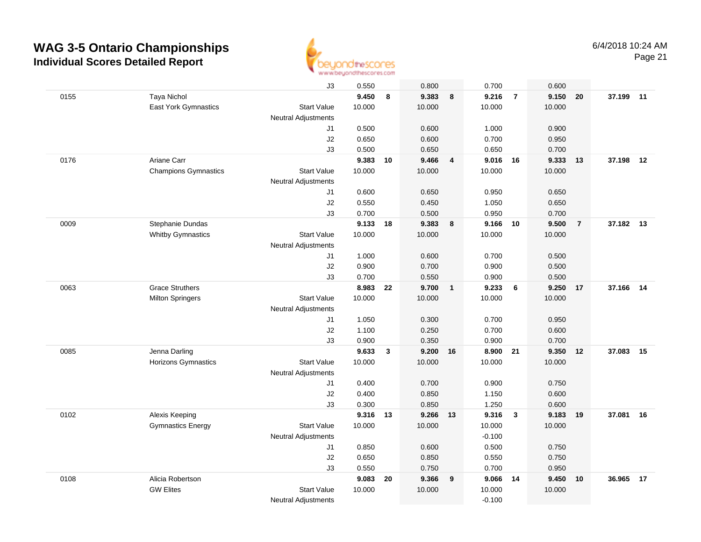

|      |                             | J3                         | 0.550    |    | 0.800    |                         | 0.700    |                         | 0.600  |                |        |    |
|------|-----------------------------|----------------------------|----------|----|----------|-------------------------|----------|-------------------------|--------|----------------|--------|----|
| 0155 | <b>Taya Nichol</b>          |                            | 9.450    | 8  | 9.383    | $\overline{\mathbf{8}}$ | 9.216    | $\overline{7}$          | 9.150  | 20             | 37.199 | 11 |
|      | East York Gymnastics        | <b>Start Value</b>         | 10.000   |    | 10.000   |                         | 10.000   |                         | 10.000 |                |        |    |
|      |                             | <b>Neutral Adjustments</b> |          |    |          |                         |          |                         |        |                |        |    |
|      |                             | J1                         | 0.500    |    | 0.600    |                         | 1.000    |                         | 0.900  |                |        |    |
|      |                             | J2                         | 0.650    |    | 0.600    |                         | 0.700    |                         | 0.950  |                |        |    |
|      |                             | J3                         | 0.500    |    | 0.650    |                         | 0.650    |                         | 0.700  |                |        |    |
| 0176 | Ariane Carr                 |                            | 9.383    | 10 | 9.466    | 4                       | 9.016    | 16                      | 9.333  | 13             | 37.198 | 12 |
|      | <b>Champions Gymnastics</b> | <b>Start Value</b>         | 10.000   |    | 10.000   |                         | 10.000   |                         | 10.000 |                |        |    |
|      |                             | <b>Neutral Adjustments</b> |          |    |          |                         |          |                         |        |                |        |    |
|      |                             | J1                         | 0.600    |    | 0.650    |                         | 0.950    |                         | 0.650  |                |        |    |
|      |                             | J2                         | 0.550    |    | 0.450    |                         | 1.050    |                         | 0.650  |                |        |    |
|      |                             | J3                         | 0.700    |    | 0.500    |                         | 0.950    |                         | 0.700  |                |        |    |
| 0009 | Stephanie Dundas            |                            | 9.133    | 18 | 9.383    | 8                       | 9.166    | 10                      | 9.500  | $\overline{7}$ | 37.182 | 13 |
|      | <b>Whitby Gymnastics</b>    | <b>Start Value</b>         | 10.000   |    | 10.000   |                         | 10.000   |                         | 10.000 |                |        |    |
|      |                             | <b>Neutral Adjustments</b> |          |    |          |                         |          |                         |        |                |        |    |
|      |                             | J1                         | 1.000    |    | 0.600    |                         | 0.700    |                         | 0.500  |                |        |    |
|      |                             | J2                         | 0.900    |    | 0.700    |                         | 0.900    |                         | 0.500  |                |        |    |
|      |                             | J3                         | 0.700    |    | 0.550    |                         | 0.900    |                         | 0.500  |                |        |    |
| 0063 | <b>Grace Struthers</b>      |                            | 8.983    | 22 | 9.700    | $\overline{1}$          | 9.233    | 6                       | 9.250  | 17             | 37.166 | 14 |
|      | <b>Milton Springers</b>     | <b>Start Value</b>         | 10.000   |    | 10.000   |                         | 10.000   |                         | 10.000 |                |        |    |
|      |                             | <b>Neutral Adjustments</b> |          |    |          |                         |          |                         |        |                |        |    |
|      |                             | J1                         | 1.050    |    | 0.300    |                         | 0.700    |                         | 0.950  |                |        |    |
|      |                             | J2                         | 1.100    |    | 0.250    |                         | 0.700    |                         | 0.600  |                |        |    |
|      |                             | J3                         | 0.900    |    | 0.350    |                         | 0.900    |                         | 0.700  |                |        |    |
| 0085 | Jenna Darling               |                            | 9.633    | 3  | 9.200    | 16                      | 8.900    | - 21                    | 9.350  | 12             | 37.083 | 15 |
|      | <b>Horizons Gymnastics</b>  | <b>Start Value</b>         | 10.000   |    | 10.000   |                         | 10.000   |                         | 10.000 |                |        |    |
|      |                             | <b>Neutral Adjustments</b> |          |    |          |                         |          |                         |        |                |        |    |
|      |                             | J1                         | 0.400    |    | 0.700    |                         | 0.900    |                         | 0.750  |                |        |    |
|      |                             | $\sf J2$                   | 0.400    |    | 0.850    |                         | 1.150    |                         | 0.600  |                |        |    |
|      |                             | J3                         | 0.300    |    | 0.850    |                         | 1.250    |                         | 0.600  |                |        |    |
| 0102 | Alexis Keeping              |                            | 9.316 13 |    | 9.266 13 |                         | 9.316    | $\overline{\mathbf{3}}$ | 9.183  | 19             | 37.081 | 16 |
|      | <b>Gymnastics Energy</b>    | <b>Start Value</b>         | 10.000   |    | 10.000   |                         | 10.000   |                         | 10.000 |                |        |    |
|      |                             | <b>Neutral Adjustments</b> |          |    |          |                         | $-0.100$ |                         |        |                |        |    |
|      |                             | J1                         | 0.850    |    | 0.600    |                         | 0.500    |                         | 0.750  |                |        |    |
|      |                             | J2                         | 0.650    |    | 0.850    |                         | 0.550    |                         | 0.750  |                |        |    |
|      |                             | J3                         | 0.550    |    | 0.750    |                         | 0.700    |                         | 0.950  |                |        |    |
| 0108 | Alicia Robertson            |                            | 9.083    | 20 | 9.366    | 9                       | 9.066    | 14                      | 9.450  | 10             | 36.965 | 17 |
|      | <b>GW Elites</b>            | <b>Start Value</b>         | 10.000   |    | 10.000   |                         | 10.000   |                         | 10.000 |                |        |    |
|      |                             | <b>Neutral Adjustments</b> |          |    |          |                         | $-0.100$ |                         |        |                |        |    |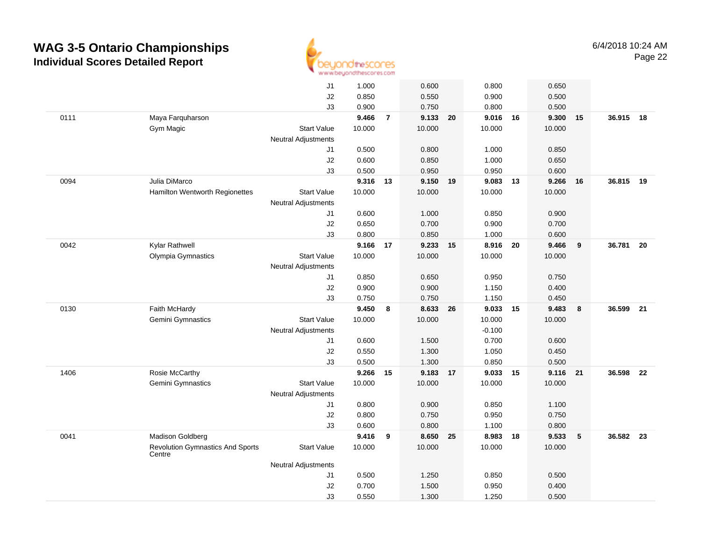

|      |                                                   | J1                         | 1.000           |                | 0.600              |    | 0.800              |    | 0.650           |    |           |      |
|------|---------------------------------------------------|----------------------------|-----------------|----------------|--------------------|----|--------------------|----|-----------------|----|-----------|------|
|      |                                                   | J2                         | 0.850           |                | 0.550              |    | 0.900              |    | 0.500           |    |           |      |
|      |                                                   | J3                         | 0.900           |                | 0.750              |    | 0.800              |    | 0.500           |    |           |      |
| 0111 | Maya Farquharson                                  |                            | 9.466           | $\overline{7}$ | 9.133 20           |    | 9.016 16           |    | 9.300           | 15 | 36.915 18 |      |
|      | Gym Magic                                         | <b>Start Value</b>         | 10.000          |                | 10.000             |    | 10.000             |    | 10.000          |    |           |      |
|      |                                                   | <b>Neutral Adjustments</b> |                 |                |                    |    |                    |    |                 |    |           |      |
|      |                                                   | J1                         | 0.500           |                | 0.800              |    | 1.000              |    | 0.850           |    |           |      |
|      |                                                   | J2                         | 0.600           |                | 0.850              |    | 1.000              |    | 0.650           |    |           |      |
|      |                                                   | J3                         | 0.500           |                | 0.950              |    | 0.950              |    | 0.600           |    |           |      |
| 0094 | Julia DiMarco                                     |                            | 9.316           | 13             | 9.150              | 19 | 9.083              | 13 | 9.266           | 16 | 36.815    | 19   |
|      | Hamilton Wentworth Regionettes                    | <b>Start Value</b>         | 10.000          |                | 10.000             |    | 10.000             |    | 10.000          |    |           |      |
|      |                                                   | Neutral Adjustments        |                 |                |                    |    |                    |    |                 |    |           |      |
|      |                                                   | J1                         | 0.600           |                | 1.000              |    | 0.850              |    | 0.900           |    |           |      |
|      |                                                   | J2                         | 0.650           |                | 0.700              |    | 0.900              |    | 0.700           |    |           |      |
|      |                                                   | J3                         | 0.800           |                | 0.850              |    | 1.000              |    | 0.600           |    |           |      |
| 0042 | Kylar Rathwell<br>Olympia Gymnastics              | <b>Start Value</b>         | 9.166<br>10.000 | 17             | 9.233 15<br>10.000 |    | 8.916 20<br>10.000 |    | 9.466<br>10.000 | 9  | 36.781    | - 20 |
|      |                                                   | <b>Neutral Adjustments</b> |                 |                |                    |    |                    |    |                 |    |           |      |
|      |                                                   | J1                         | 0.850           |                | 0.650              |    | 0.950              |    | 0.750           |    |           |      |
|      |                                                   | J2                         | 0.900           |                | 0.900              |    | 1.150              |    | 0.400           |    |           |      |
|      |                                                   | J3                         | 0.750           |                | 0.750              |    | 1.150              |    | 0.450           |    |           |      |
| 0130 | Faith McHardy                                     |                            | 9.450           | 8              | 8.633 26           |    | 9.033 15           |    | 9.483           | 8  | 36.599    | 21   |
|      | <b>Gemini Gymnastics</b>                          | <b>Start Value</b>         | 10.000          |                | 10.000             |    | 10.000             |    | 10.000          |    |           |      |
|      |                                                   | Neutral Adjustments        |                 |                |                    |    | $-0.100$           |    |                 |    |           |      |
|      |                                                   | J1                         | 0.600           |                | 1.500              |    | 0.700              |    | 0.600           |    |           |      |
|      |                                                   | J2                         | 0.550           |                | 1.300              |    | 1.050              |    | 0.450           |    |           |      |
|      |                                                   | J3                         | 0.500           |                | 1.300              |    | 0.850              |    | 0.500           |    |           |      |
| 1406 | Rosie McCarthy                                    |                            | 9.266           | 15             | 9.183              | 17 | 9.033              | 15 | 9.116           | 21 | 36.598    | 22   |
|      | Gemini Gymnastics                                 | <b>Start Value</b>         | 10.000          |                | 10.000             |    | 10.000             |    | 10.000          |    |           |      |
|      |                                                   | <b>Neutral Adjustments</b> |                 |                |                    |    |                    |    |                 |    |           |      |
|      |                                                   | J1                         | 0.800           |                | 0.900              |    | 0.850              |    | 1.100           |    |           |      |
|      |                                                   | J2                         | 0.800           |                | 0.750              |    | 0.950              |    | 0.750           |    |           |      |
|      |                                                   | J3                         | 0.600           |                | 0.800              |    | 1.100              |    | 0.800           |    |           |      |
| 0041 | Madison Goldberg                                  |                            | 9.416           | 9              | 8.650              | 25 | 8.983 18           |    | 9.533           | 5  | 36.582 23 |      |
|      | <b>Revolution Gymnastics And Sports</b><br>Centre | <b>Start Value</b>         | 10.000          |                | 10.000             |    | 10.000             |    | 10.000          |    |           |      |
|      |                                                   | <b>Neutral Adjustments</b> |                 |                |                    |    |                    |    |                 |    |           |      |
|      |                                                   | J1                         | 0.500           |                | 1.250              |    | 0.850              |    | 0.500           |    |           |      |
|      |                                                   | J2                         | 0.700           |                | 1.500              |    | 0.950              |    | 0.400           |    |           |      |
|      |                                                   | J3                         | 0.550           |                | 1.300              |    | 1.250              |    | 0.500           |    |           |      |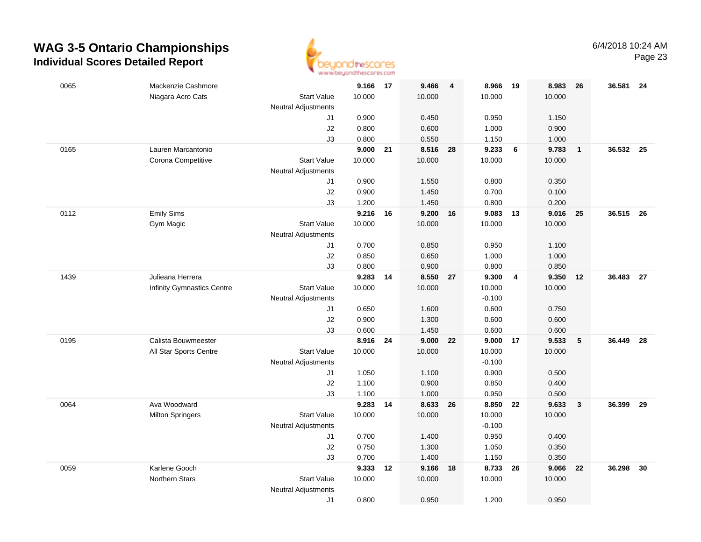

| 0065 | Mackenzie Cashmore         |                            | 9.166 17 |    | 9.466    | $\overline{\mathbf{4}}$ | 8.966    | - 19           | 8.983  | 26             | 36.581    | 24   |
|------|----------------------------|----------------------------|----------|----|----------|-------------------------|----------|----------------|--------|----------------|-----------|------|
|      | Niagara Acro Cats          | <b>Start Value</b>         | 10.000   |    | 10.000   |                         | 10.000   |                | 10.000 |                |           |      |
|      |                            | <b>Neutral Adjustments</b> |          |    |          |                         |          |                |        |                |           |      |
|      |                            | J1                         | 0.900    |    | 0.450    |                         | 0.950    |                | 1.150  |                |           |      |
|      |                            | J2                         | 0.800    |    | 0.600    |                         | 1.000    |                | 0.900  |                |           |      |
|      |                            | J3                         | 0.800    |    | 0.550    |                         | 1.150    |                | 1.000  |                |           |      |
| 0165 | Lauren Marcantonio         |                            | 9.000    | 21 | 8.516 28 |                         | 9.233    | $6\phantom{a}$ | 9.783  | $\overline{1}$ | 36.532 25 |      |
|      | Corona Competitive         | <b>Start Value</b>         | 10.000   |    | 10.000   |                         | 10.000   |                | 10.000 |                |           |      |
|      |                            | <b>Neutral Adjustments</b> |          |    |          |                         |          |                |        |                |           |      |
|      |                            | J1                         | 0.900    |    | 1.550    |                         | 0.800    |                | 0.350  |                |           |      |
|      |                            | J2                         | 0.900    |    | 1.450    |                         | 0.700    |                | 0.100  |                |           |      |
|      |                            | J3                         | 1.200    |    | 1.450    |                         | 0.800    |                | 0.200  |                |           |      |
| 0112 | <b>Emily Sims</b>          |                            | 9.216    | 16 | 9.200    | 16                      | 9.083    | 13             | 9.016  | 25             | 36.515    | 26   |
|      | Gym Magic                  | <b>Start Value</b>         | 10.000   |    | 10.000   |                         | 10.000   |                | 10.000 |                |           |      |
|      |                            | <b>Neutral Adjustments</b> |          |    |          |                         |          |                |        |                |           |      |
|      |                            | J1                         | 0.700    |    | 0.850    |                         | 0.950    |                | 1.100  |                |           |      |
|      |                            | J2                         | 0.850    |    | 0.650    |                         | 1.000    |                | 1.000  |                |           |      |
|      |                            | J3                         | 0.800    |    | 0.900    |                         | 0.800    |                | 0.850  |                |           |      |
| 1439 | Julieana Herrera           |                            | 9.283    | 14 | 8.550 27 |                         | 9.300    | $\overline{4}$ | 9.350  | 12             | 36.483    | 27   |
|      | Infinity Gymnastics Centre | <b>Start Value</b>         | 10.000   |    | 10.000   |                         | 10.000   |                | 10.000 |                |           |      |
|      |                            | <b>Neutral Adjustments</b> |          |    |          |                         | $-0.100$ |                |        |                |           |      |
|      |                            | J1                         | 0.650    |    | 1.600    |                         | 0.600    |                | 0.750  |                |           |      |
|      |                            | J2                         | 0.900    |    | 1.300    |                         | 0.600    |                | 0.600  |                |           |      |
|      |                            | J3                         | 0.600    |    | 1.450    |                         | 0.600    |                | 0.600  |                |           |      |
| 0195 | Calista Bouwmeester        |                            | 8.916    | 24 | 9.000    | 22                      | 9.000    | 17             | 9.533  | 5              | 36.449    | 28   |
|      | All Star Sports Centre     | <b>Start Value</b>         | 10.000   |    | 10.000   |                         | 10.000   |                | 10.000 |                |           |      |
|      |                            | <b>Neutral Adjustments</b> |          |    |          |                         | $-0.100$ |                |        |                |           |      |
|      |                            | J1                         | 1.050    |    | 1.100    |                         | 0.900    |                | 0.500  |                |           |      |
|      |                            | J2                         | 1.100    |    | 0.900    |                         | 0.850    |                | 0.400  |                |           |      |
|      |                            | J3                         | 1.100    |    | 1.000    |                         | 0.950    |                | 0.500  |                |           |      |
| 0064 | Ava Woodward               |                            | 9.283 14 |    | 8.633 26 |                         | 8.850 22 |                | 9.633  | $\mathbf{3}$   | 36.399    | - 29 |
|      | <b>Milton Springers</b>    | <b>Start Value</b>         | 10.000   |    | 10.000   |                         | 10.000   |                | 10.000 |                |           |      |
|      |                            | <b>Neutral Adjustments</b> |          |    |          |                         | $-0.100$ |                |        |                |           |      |
|      |                            | J1                         | 0.700    |    | 1.400    |                         | 0.950    |                | 0.400  |                |           |      |
|      |                            | J2                         | 0.750    |    | 1.300    |                         | 1.050    |                | 0.350  |                |           |      |
|      |                            | J3                         | 0.700    |    | 1.400    |                         | 1.150    |                | 0.350  |                |           |      |
| 0059 | Karlene Gooch              |                            | 9.333    | 12 | 9.166    | 18                      | 8.733    | 26             | 9.066  | 22             | 36.298    | 30   |
|      | Northern Stars             | <b>Start Value</b>         | 10.000   |    | 10.000   |                         | 10.000   |                | 10.000 |                |           |      |
|      |                            | <b>Neutral Adjustments</b> |          |    |          |                         |          |                |        |                |           |      |
|      |                            | J1                         | 0.800    |    | 0.950    |                         | 1.200    |                | 0.950  |                |           |      |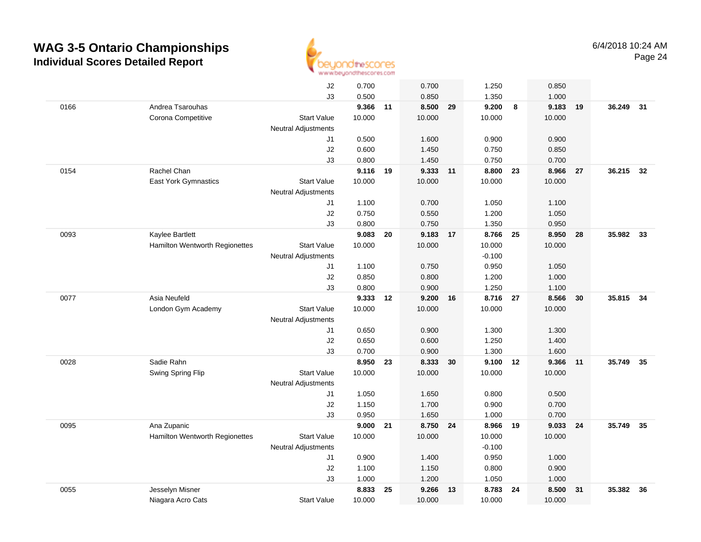

|      |                                | J2                         | 0.700    |    | 0.700    |    | 1.250    |    | 0.850  |      |           |      |
|------|--------------------------------|----------------------------|----------|----|----------|----|----------|----|--------|------|-----------|------|
|      |                                | J3                         | 0.500    |    | 0.850    |    | 1.350    |    | 1.000  |      |           |      |
| 0166 | Andrea Tsarouhas               |                            | 9.366 11 |    | 8.500    | 29 | 9.200    | 8  | 9.183  | 19   | 36.249 31 |      |
|      | Corona Competitive             | <b>Start Value</b>         | 10.000   |    | 10.000   |    | 10.000   |    | 10.000 |      |           |      |
|      |                                | <b>Neutral Adjustments</b> |          |    |          |    |          |    |        |      |           |      |
|      |                                | J1                         | 0.500    |    | 1.600    |    | 0.900    |    | 0.900  |      |           |      |
|      |                                | J2                         | 0.600    |    | 1.450    |    | 0.750    |    | 0.850  |      |           |      |
|      |                                | J3                         | 0.800    |    | 1.450    |    | 0.750    |    | 0.700  |      |           |      |
| 0154 | Rachel Chan                    |                            | 9.116 19 |    | 9.333 11 |    | 8.800    | 23 | 8.966  | 27   | 36.215    | 32   |
|      | <b>East York Gymnastics</b>    | <b>Start Value</b>         | 10.000   |    | 10.000   |    | 10.000   |    | 10.000 |      |           |      |
|      |                                | <b>Neutral Adjustments</b> |          |    |          |    |          |    |        |      |           |      |
|      |                                | J1                         | 1.100    |    | 0.700    |    | 1.050    |    | 1.100  |      |           |      |
|      |                                | J2                         | 0.750    |    | 0.550    |    | 1.200    |    | 1.050  |      |           |      |
|      |                                | J3                         | 0.800    |    | 0.750    |    | 1.350    |    | 0.950  |      |           |      |
| 0093 | Kaylee Bartlett                |                            | 9.083    | 20 | 9.183 17 |    | 8.766 25 |    | 8.950  | - 28 | 35.982 33 |      |
|      | Hamilton Wentworth Regionettes | <b>Start Value</b>         | 10.000   |    | 10.000   |    | 10.000   |    | 10.000 |      |           |      |
|      |                                | <b>Neutral Adjustments</b> |          |    |          |    | $-0.100$ |    |        |      |           |      |
|      |                                | J1                         | 1.100    |    | 0.750    |    | 0.950    |    | 1.050  |      |           |      |
|      |                                | J2                         | 0.850    |    | 0.800    |    | 1.200    |    | 1.000  |      |           |      |
|      |                                | J3                         | 0.800    |    | 0.900    |    | 1.250    |    | 1.100  |      |           |      |
| 0077 | Asia Neufeld                   |                            | 9.333    | 12 | 9.200    | 16 | 8.716 27 |    | 8.566  | 30   | 35.815    | 34   |
|      | London Gym Academy             | <b>Start Value</b>         | 10.000   |    | 10.000   |    | 10.000   |    | 10.000 |      |           |      |
|      |                                | <b>Neutral Adjustments</b> |          |    |          |    |          |    |        |      |           |      |
|      |                                | J1                         | 0.650    |    | 0.900    |    | 1.300    |    | 1.300  |      |           |      |
|      |                                | J2                         | 0.650    |    | 0.600    |    | 1.250    |    | 1.400  |      |           |      |
|      |                                | J3                         | 0.700    |    | 0.900    |    | 1.300    |    | 1.600  |      |           |      |
| 0028 | Sadie Rahn                     |                            | 8.950    | 23 | 8.333    | 30 | 9.100    | 12 | 9.366  | 11   | 35.749    | 35   |
|      | Swing Spring Flip              | <b>Start Value</b>         | 10.000   |    | 10.000   |    | 10.000   |    | 10.000 |      |           |      |
|      |                                | <b>Neutral Adjustments</b> |          |    |          |    |          |    |        |      |           |      |
|      |                                | J1                         | 1.050    |    | 1.650    |    | 0.800    |    | 0.500  |      |           |      |
|      |                                | $\sf J2$                   | 1.150    |    | 1.700    |    | 0.900    |    | 0.700  |      |           |      |
|      |                                | J3                         | 0.950    |    | 1.650    |    | 1.000    |    | 0.700  |      |           |      |
| 0095 | Ana Zupanic                    |                            | 9.000    | 21 | 8.750 24 |    | 8.966    | 19 | 9.033  | 24   | 35.749    | - 35 |
|      | Hamilton Wentworth Regionettes | <b>Start Value</b>         | 10.000   |    | 10.000   |    | 10.000   |    | 10.000 |      |           |      |
|      |                                | <b>Neutral Adjustments</b> |          |    |          |    | $-0.100$ |    |        |      |           |      |
|      |                                | J1                         | 0.900    |    | 1.400    |    | 0.950    |    | 1.000  |      |           |      |
|      |                                | J2                         | 1.100    |    | 1.150    |    | 0.800    |    | 0.900  |      |           |      |
|      |                                | J3                         | 1.000    |    | 1.200    |    | 1.050    |    | 1.000  |      |           |      |
| 0055 | Jesselyn Misner                |                            | 8.833    | 25 | 9.266    | 13 | 8.783    | 24 | 8.500  | 31   | 35.382    | 36   |
|      | Niagara Acro Cats              | <b>Start Value</b>         | 10.000   |    | 10.000   |    | 10.000   |    | 10.000 |      |           |      |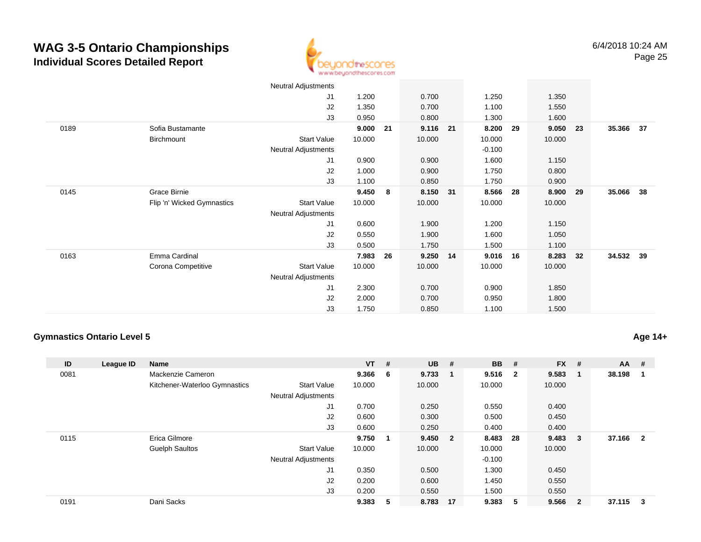

|      |                            | <b>Neutral Adjustments</b> |        |    |          |          |    |          |    |           |    |
|------|----------------------------|----------------------------|--------|----|----------|----------|----|----------|----|-----------|----|
|      |                            | J1                         | 1.200  |    | 0.700    | 1.250    |    | 1.350    |    |           |    |
|      |                            | J2                         | 1.350  |    | 0.700    | 1.100    |    | 1.550    |    |           |    |
|      |                            | J3                         | 0.950  |    | 0.800    | 1.300    |    | 1.600    |    |           |    |
| 0189 | Sofia Bustamante           |                            | 9.000  | 21 | 9.116 21 | 8.200    | 29 | 9.050    | 23 | 35.366 37 |    |
|      | Birchmount                 | <b>Start Value</b>         | 10.000 |    | 10.000   | 10.000   |    | 10.000   |    |           |    |
|      |                            | Neutral Adjustments        |        |    |          | $-0.100$ |    |          |    |           |    |
|      |                            | J1                         | 0.900  |    | 0.900    | 1.600    |    | 1.150    |    |           |    |
|      |                            | J2                         | 1.000  |    | 0.900    | 1.750    |    | 0.800    |    |           |    |
|      |                            | J3                         | 1.100  |    | 0.850    | 1.750    |    | 0.900    |    |           |    |
| 0145 | Grace Birnie               |                            | 9.450  | 8  | 8.150 31 | 8.566 28 |    | 8.900 29 |    | 35.066    | 38 |
|      | Flip 'n' Wicked Gymnastics | Start Value                | 10.000 |    | 10.000   | 10.000   |    | 10.000   |    |           |    |
|      |                            | Neutral Adjustments        |        |    |          |          |    |          |    |           |    |
|      |                            | J1                         | 0.600  |    | 1.900    | 1.200    |    | 1.150    |    |           |    |
|      |                            | J2                         | 0.550  |    | 1.900    | 1.600    |    | 1.050    |    |           |    |
|      |                            | J3                         | 0.500  |    | 1.750    | 1.500    |    | 1.100    |    |           |    |
| 0163 | Emma Cardinal              |                            | 7.983  | 26 | 9.250 14 | 9.016    | 16 | 8.283    | 32 | 34.532 39 |    |
|      | Corona Competitive         | Start Value                | 10.000 |    | 10.000   | 10.000   |    | 10.000   |    |           |    |
|      |                            | Neutral Adjustments        |        |    |          |          |    |          |    |           |    |
|      |                            | J1                         | 2.300  |    | 0.700    | 0.900    |    | 1.850    |    |           |    |
|      |                            | J2                         | 2.000  |    | 0.700    | 0.950    |    | 1.800    |    |           |    |
|      |                            | J3                         | 1.750  |    | 0.850    | 1.100    |    | 1.500    |    |           |    |
|      |                            |                            |        |    |          |          |    |          |    |           |    |

#### **Gymnastics Ontario Level 5**

**Age 14+**

| ID   | League ID | <b>Name</b>                   |                            | $VT$ #  |   | <b>UB</b> | #  | <b>BB</b> | #                       | $FX$ # |                         | AA     | #                       |
|------|-----------|-------------------------------|----------------------------|---------|---|-----------|----|-----------|-------------------------|--------|-------------------------|--------|-------------------------|
| 0081 |           | Mackenzie Cameron             |                            | 9.366 6 |   | 9.733     | -1 | 9.516     | $\overline{\mathbf{2}}$ | 9.583  | - 1                     | 38.198 | -1                      |
|      |           | Kitchener-Waterloo Gymnastics | <b>Start Value</b>         | 10.000  |   | 10.000    |    | 10.000    |                         | 10.000 |                         |        |                         |
|      |           |                               | <b>Neutral Adjustments</b> |         |   |           |    |           |                         |        |                         |        |                         |
|      |           |                               | J1                         | 0.700   |   | 0.250     |    | 0.550     |                         | 0.400  |                         |        |                         |
|      |           |                               | J2                         | 0.600   |   | 0.300     |    | 0.500     |                         | 0.450  |                         |        |                         |
|      |           |                               | J3                         | 0.600   |   | 0.250     |    | 0.400     |                         | 0.400  |                         |        |                         |
| 0115 |           | Erica Gilmore                 |                            | 9.750   |   | 9.450 2   |    | 8.483     | -28                     | 9.483  | $_{3}$                  | 37.166 | $\overline{\mathbf{2}}$ |
|      |           | <b>Guelph Saultos</b>         | <b>Start Value</b>         | 10.000  |   | 10.000    |    | 10.000    |                         | 10.000 |                         |        |                         |
|      |           |                               | <b>Neutral Adjustments</b> |         |   |           |    | $-0.100$  |                         |        |                         |        |                         |
|      |           |                               | J <sub>1</sub>             | 0.350   |   | 0.500     |    | 1.300     |                         | 0.450  |                         |        |                         |
|      |           |                               | J2                         | 0.200   |   | 0.600     |    | 1.450     |                         | 0.550  |                         |        |                         |
|      |           |                               | J3                         | 0.200   |   | 0.550     |    | 1.500     |                         | 0.550  |                         |        |                         |
| 0191 |           | Dani Sacks                    |                            | 9.383   | 5 | 8.783     | 17 | 9.383     | -5                      | 9.566  | $\overline{\mathbf{2}}$ | 37.115 | -3                      |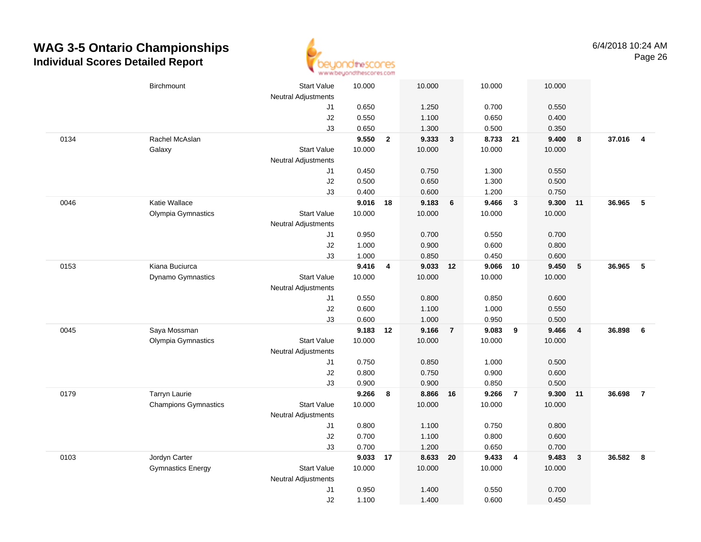

|      | Birchmount                  | <b>Start Value</b><br><b>Neutral Adjustments</b> | 10.000   |                | 10.000         |                | 10.000         |                         | 10.000         |                         |        |                         |
|------|-----------------------------|--------------------------------------------------|----------|----------------|----------------|----------------|----------------|-------------------------|----------------|-------------------------|--------|-------------------------|
|      |                             | J1                                               | 0.650    |                | 1.250          |                | 0.700          |                         | 0.550          |                         |        |                         |
|      |                             | J2                                               | 0.550    |                | 1.100          |                | 0.650          |                         | 0.400          |                         |        |                         |
|      |                             | J3                                               | 0.650    |                | 1.300          |                | 0.500          |                         | 0.350          |                         |        |                         |
| 0134 | Rachel McAslan              |                                                  | 9.550    | $\overline{2}$ | 9.333          | $\mathbf{3}$   | 8.733 21       |                         | 9.400          | 8                       | 37.016 | $\overline{\mathbf{4}}$ |
|      | Galaxy                      | <b>Start Value</b>                               | 10.000   |                | 10.000         |                | 10.000         |                         | 10.000         |                         |        |                         |
|      |                             | <b>Neutral Adjustments</b>                       |          |                |                |                |                |                         |                |                         |        |                         |
|      |                             | J1                                               | 0.450    |                | 0.750          |                | 1.300          |                         | 0.550          |                         |        |                         |
|      |                             | J2                                               | 0.500    |                | 0.650          |                | 1.300          |                         | 0.500          |                         |        |                         |
|      |                             | JЗ                                               | 0.400    |                | 0.600          |                | 1.200          |                         | 0.750          |                         |        |                         |
| 0046 | Katie Wallace               |                                                  | 9.016 18 |                | 9.183          | 6              | 9.466          | $\mathbf{3}$            | 9.300          | 11                      | 36.965 | 5                       |
|      | Olympia Gymnastics          | <b>Start Value</b>                               | 10.000   |                | 10.000         |                | 10.000         |                         | 10.000         |                         |        |                         |
|      |                             | <b>Neutral Adjustments</b>                       |          |                |                |                |                |                         |                |                         |        |                         |
|      |                             | J1                                               | 0.950    |                | 0.700          |                | 0.550          |                         | 0.700          |                         |        |                         |
|      |                             | J2                                               | 1.000    |                | 0.900          |                | 0.600          |                         | 0.800          |                         |        |                         |
|      |                             | J3                                               | 1.000    |                | 0.850          |                | 0.450          |                         | 0.600          |                         |        |                         |
| 0153 | Kiana Buciurca              |                                                  | 9.416    | 4              | 9.033 12       |                | 9.066 10       |                         | 9.450          | $\sqrt{5}$              | 36.965 | $-5$                    |
|      | <b>Dynamo Gymnastics</b>    | <b>Start Value</b>                               | 10.000   |                | 10.000         |                | 10.000         |                         | 10.000         |                         |        |                         |
|      |                             | <b>Neutral Adjustments</b>                       |          |                |                |                |                |                         |                |                         |        |                         |
|      |                             | J1                                               | 0.550    |                | 0.800          |                | 0.850          |                         | 0.600          |                         |        |                         |
|      |                             | J2                                               | 0.600    |                | 1.100          |                | 1.000          |                         | 0.550          |                         |        |                         |
|      |                             | J3                                               | 0.600    |                | 1.000          |                | 0.950          |                         | 0.500          |                         |        |                         |
| 0045 | Saya Mossman                |                                                  | 9.183 12 |                | 9.166          | $\overline{7}$ | 9.083          | 9                       | 9.466          | $\overline{4}$          | 36.898 | 6                       |
|      | Olympia Gymnastics          | <b>Start Value</b>                               | 10.000   |                | 10.000         |                | 10.000         |                         | 10.000         |                         |        |                         |
|      |                             | <b>Neutral Adjustments</b>                       |          |                |                |                |                |                         |                |                         |        |                         |
|      |                             | J1                                               | 0.750    |                | 0.850          |                | 1.000          |                         | 0.500          |                         |        |                         |
|      |                             | J2                                               | 0.800    |                | 0.750          |                | 0.900          |                         | 0.600          |                         |        |                         |
|      |                             | JЗ                                               | 0.900    |                | 0.900          |                | 0.850          |                         | 0.500          |                         |        |                         |
| 0179 | Tarryn Laurie               |                                                  | 9.266    | 8              | 8.866 16       |                | 9.266          | $\overline{7}$          | 9.300 11       |                         | 36.698 | $\overline{7}$          |
|      | <b>Champions Gymnastics</b> | <b>Start Value</b>                               | 10.000   |                | 10.000         |                | 10.000         |                         | 10.000         |                         |        |                         |
|      |                             | <b>Neutral Adjustments</b>                       |          |                |                |                |                |                         |                |                         |        |                         |
|      |                             | J1                                               | 0.800    |                | 1.100          |                | 0.750          |                         | 0.800          |                         |        |                         |
|      |                             | J2                                               | 0.700    |                | 1.100          |                | 0.800          |                         | 0.600          |                         |        |                         |
|      |                             | JЗ                                               | 0.700    |                | 1.200          |                | 0.650          |                         | 0.700          |                         |        | $\overline{\mathbf{8}}$ |
| 0103 | Jordyn Carter               |                                                  | 9.033    | 17             | 8.633          | 20             | 9.433          | $\overline{\mathbf{4}}$ | 9.483          | $\overline{\mathbf{3}}$ | 36.582 |                         |
|      | <b>Gymnastics Energy</b>    | <b>Start Value</b>                               | 10.000   |                | 10.000         |                | 10.000         |                         | 10.000         |                         |        |                         |
|      |                             | <b>Neutral Adjustments</b>                       |          |                |                |                |                |                         |                |                         |        |                         |
|      |                             | J1<br>J2                                         | 0.950    |                | 1.400<br>1.400 |                | 0.550<br>0.600 |                         | 0.700<br>0.450 |                         |        |                         |
|      |                             |                                                  | 1.100    |                |                |                |                |                         |                |                         |        |                         |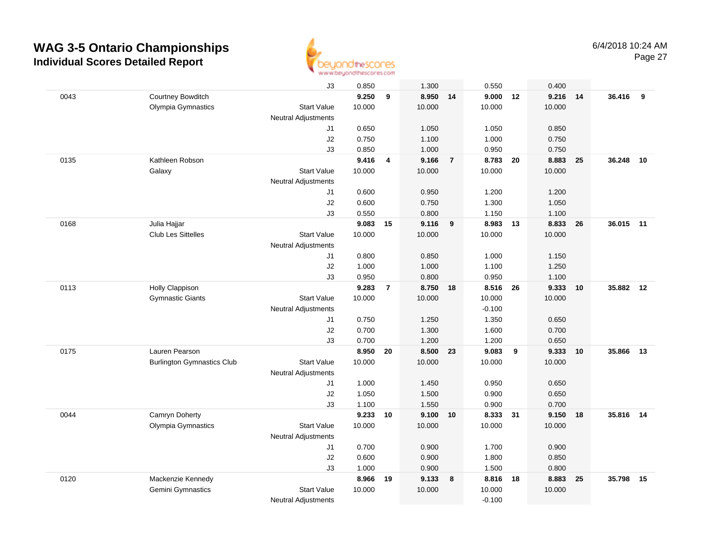

|      |                                   | J3                               | 0.850          |                         | 1.300           |                | 0.550           |    | 0.400  |    |           |    |
|------|-----------------------------------|----------------------------------|----------------|-------------------------|-----------------|----------------|-----------------|----|--------|----|-----------|----|
| 0043 | Courtney Bowditch                 |                                  | 9.250          | $\boldsymbol{9}$        | 8.950 14        |                | $9.000$ 12      |    | 9.216  | 14 | 36.416 9  |    |
|      | Olympia Gymnastics                | <b>Start Value</b>               | 10.000         |                         | 10.000          |                | 10.000          |    | 10.000 |    |           |    |
|      |                                   | <b>Neutral Adjustments</b>       |                |                         |                 |                |                 |    |        |    |           |    |
|      |                                   | J1                               | 0.650          |                         | 1.050           |                | 1.050           |    | 0.850  |    |           |    |
|      |                                   | J2                               | 0.750          |                         | 1.100           |                | 1.000           |    | 0.750  |    |           |    |
|      |                                   | J3                               | 0.850          |                         | 1.000           |                | 0.950           |    | 0.750  |    |           |    |
| 0135 | Kathleen Robson                   |                                  | 9.416          | $\overline{\mathbf{4}}$ | 9.166           | $\overline{7}$ | 8.783           | 20 | 8.883  | 25 | 36.248    | 10 |
|      | Galaxy                            | <b>Start Value</b>               | 10.000         |                         | 10.000          |                | 10.000          |    | 10.000 |    |           |    |
|      |                                   | <b>Neutral Adjustments</b>       |                |                         |                 |                |                 |    |        |    |           |    |
|      |                                   | J1                               | 0.600          |                         | 0.950           |                | 1.200           |    | 1.200  |    |           |    |
|      |                                   | J2                               | 0.600          |                         | 0.750           |                | 1.300           |    | 1.050  |    |           |    |
|      |                                   | J3                               | 0.550          |                         | 0.800           |                | 1.150           |    | 1.100  |    |           |    |
| 0168 | Julia Hajjar                      |                                  | 9.083          | 15                      | 9.116           | 9              | 8.983           | 13 | 8.833  | 26 | 36.015 11 |    |
|      | <b>Club Les Sittelles</b>         | <b>Start Value</b>               | 10.000         |                         | 10.000          |                | 10.000          |    | 10.000 |    |           |    |
|      |                                   | <b>Neutral Adjustments</b>       |                |                         |                 |                |                 |    |        |    |           |    |
|      |                                   | J1                               | 0.800          |                         | 0.850           |                | 1.000           |    | 1.150  |    |           |    |
|      |                                   | J2                               | 1.000          |                         | 1.000           |                | 1.100           |    | 1.250  |    |           |    |
|      |                                   | J3                               | 0.950          |                         | 0.800           |                | 0.950           |    | 1.100  |    |           |    |
| 0113 | Holly Clappison                   |                                  | 9.283          | $\overline{7}$          | 8.750 18        |                | 8.516 26        |    | 9.333  | 10 | 35.882    | 12 |
|      | <b>Gymnastic Giants</b>           | <b>Start Value</b>               | 10.000         |                         | 10.000          |                | 10.000          |    | 10.000 |    |           |    |
|      |                                   | <b>Neutral Adjustments</b>       |                |                         |                 |                | $-0.100$        |    |        |    |           |    |
|      |                                   | J1                               | 0.750          |                         | 1.250           |                | 1.350           |    | 0.650  |    |           |    |
|      |                                   | J <sub>2</sub>                   | 0.700          |                         | 1.300           |                | 1.600           |    | 0.700  |    |           |    |
|      | Lauren Pearson                    | J3                               | 0.700<br>8.950 |                         | 1.200           |                | 1.200           | 9  | 0.650  |    | 35,866    | 13 |
| 0175 |                                   | <b>Start Value</b>               | 10.000         | 20                      | 8.500<br>10.000 | 23             | 9.083<br>10.000 |    | 9.333  | 10 |           |    |
|      | <b>Burlington Gymnastics Club</b> |                                  |                |                         |                 |                |                 |    | 10.000 |    |           |    |
|      |                                   | <b>Neutral Adjustments</b><br>J1 | 1.000          |                         | 1.450           |                | 0.950           |    | 0.650  |    |           |    |
|      |                                   | J2                               | 1.050          |                         | 1.500           |                | 0.900           |    | 0.650  |    |           |    |
|      |                                   | J3                               | 1.100          |                         | 1.550           |                | 0.900           |    | 0.700  |    |           |    |
| 0044 | Camryn Doherty                    |                                  | 9.233          | 10                      | 9.100 10        |                | 8.333           | 31 | 9.150  | 18 | 35.816 14 |    |
|      | Olympia Gymnastics                | <b>Start Value</b>               | 10.000         |                         | 10.000          |                | 10.000          |    | 10.000 |    |           |    |
|      |                                   | <b>Neutral Adjustments</b>       |                |                         |                 |                |                 |    |        |    |           |    |
|      |                                   | J1                               | 0.700          |                         | 0.900           |                | 1.700           |    | 0.900  |    |           |    |
|      |                                   | J2                               | 0.600          |                         | 0.900           |                | 1.800           |    | 0.850  |    |           |    |
|      |                                   | J3                               | 1.000          |                         | 0.900           |                | 1.500           |    | 0.800  |    |           |    |
| 0120 | Mackenzie Kennedy                 |                                  | 8.966          | 19                      | 9.133           | 8              | 8.816           | 18 | 8.883  | 25 | 35.798    | 15 |
|      | Gemini Gymnastics                 | <b>Start Value</b>               | 10.000         |                         | 10.000          |                | 10.000          |    | 10.000 |    |           |    |
|      |                                   | <b>Neutral Adjustments</b>       |                |                         |                 |                | $-0.100$        |    |        |    |           |    |
|      |                                   |                                  |                |                         |                 |                |                 |    |        |    |           |    |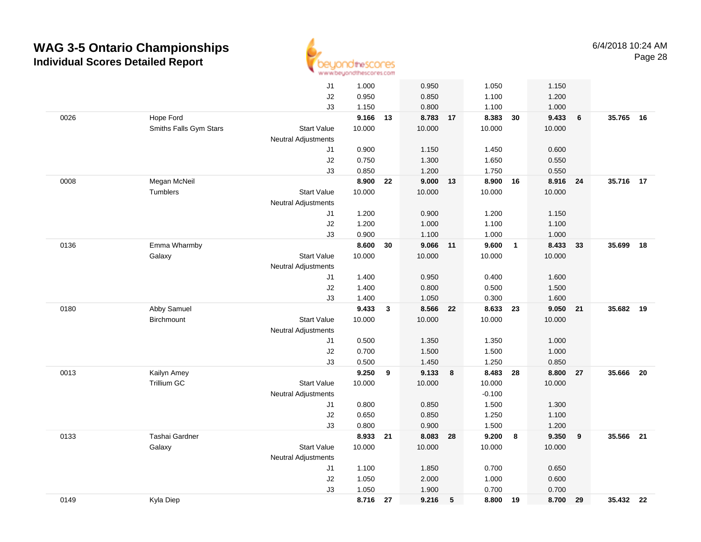

|      |                        | J1                         | 1.000    |    | 0.950    |            | 1.050    |                | 1.150  |      |           |    |
|------|------------------------|----------------------------|----------|----|----------|------------|----------|----------------|--------|------|-----------|----|
|      |                        | J2                         | 0.950    |    | 0.850    |            | 1.100    |                | 1.200  |      |           |    |
|      |                        | J3                         | 1.150    |    | 0.800    |            | 1.100    |                | 1.000  |      |           |    |
| 0026 | Hope Ford              |                            | 9.166 13 |    | 8.783 17 |            | 8.383 30 |                | 9.433  | 6    | 35.765 16 |    |
|      | Smiths Falls Gym Stars | <b>Start Value</b>         | 10.000   |    | 10.000   |            | 10.000   |                | 10.000 |      |           |    |
|      |                        | Neutral Adjustments        |          |    |          |            |          |                |        |      |           |    |
|      |                        | J1                         | 0.900    |    | 1.150    |            | 1.450    |                | 0.600  |      |           |    |
|      |                        | J2                         | 0.750    |    | 1.300    |            | 1.650    |                | 0.550  |      |           |    |
|      |                        | J3                         | 0.850    |    | 1.200    |            | 1.750    |                | 0.550  |      |           |    |
| 0008 | Megan McNeil           |                            | 8.900    | 22 | 9.000 13 |            | 8.900 16 |                | 8.916  | - 24 | 35.716 17 |    |
|      | Tumblers               | <b>Start Value</b>         | 10.000   |    | 10.000   |            | 10.000   |                | 10.000 |      |           |    |
|      |                        | Neutral Adjustments        |          |    |          |            |          |                |        |      |           |    |
|      |                        | J1                         | 1.200    |    | 0.900    |            | 1.200    |                | 1.150  |      |           |    |
|      |                        | J2                         | 1.200    |    | 1.000    |            | 1.100    |                | 1.100  |      |           |    |
|      |                        | J3                         | 0.900    |    | 1.100    |            | 1.000    |                | 1.000  |      |           |    |
| 0136 | Emma Wharmby           |                            | 8.600    | 30 | 9.066 11 |            | 9.600    | $\overline{1}$ | 8.433  | 33   | 35.699    | 18 |
|      | Galaxy                 | <b>Start Value</b>         | 10.000   |    | 10.000   |            | 10.000   |                | 10.000 |      |           |    |
|      |                        | Neutral Adjustments        |          |    |          |            |          |                |        |      |           |    |
|      |                        | J1                         | 1.400    |    | 0.950    |            | 0.400    |                | 1.600  |      |           |    |
|      |                        | J2                         | 1.400    |    | 0.800    |            | 0.500    |                | 1.500  |      |           |    |
|      |                        | J3                         | 1.400    |    | 1.050    |            | 0.300    |                | 1.600  |      |           |    |
| 0180 | Abby Samuel            |                            | 9.433    | 3  | 8.566    | 22         | 8.633    | 23             | 9.050  | 21   | 35.682    | 19 |
|      | Birchmount             | <b>Start Value</b>         | 10.000   |    | 10.000   |            | 10.000   |                | 10.000 |      |           |    |
|      |                        | Neutral Adjustments        |          |    |          |            |          |                |        |      |           |    |
|      |                        | J1                         | 0.500    |    | 1.350    |            | 1.350    |                | 1.000  |      |           |    |
|      |                        | J2                         | 0.700    |    | 1.500    |            | 1.500    |                | 1.000  |      |           |    |
|      |                        | J3                         | 0.500    |    | 1.450    |            | 1.250    |                | 0.850  |      |           |    |
| 0013 | Kailyn Amey            |                            | 9.250    | 9  | 9.133    | 8          | 8.483 28 |                | 8.800  | 27   | 35.666    | 20 |
|      | Trillium GC            | <b>Start Value</b>         | 10.000   |    | 10.000   |            | 10.000   |                | 10.000 |      |           |    |
|      |                        | Neutral Adjustments        |          |    |          |            | $-0.100$ |                |        |      |           |    |
|      |                        | J1                         | 0.800    |    | 0.850    |            | 1.500    |                | 1.300  |      |           |    |
|      |                        | J2                         | 0.650    |    | 0.850    |            | 1.250    |                | 1.100  |      |           |    |
|      |                        | J3                         | 0.800    |    | 0.900    |            | 1.500    |                | 1.200  |      |           |    |
| 0133 | Tashai Gardner         |                            | 8.933    | 21 | 8.083    | 28         | 9.200    | $\bf{8}$       | 9.350  | 9    | 35.566 21 |    |
|      | Galaxy                 | <b>Start Value</b>         | 10.000   |    | 10.000   |            | 10.000   |                | 10.000 |      |           |    |
|      |                        | <b>Neutral Adjustments</b> |          |    |          |            |          |                |        |      |           |    |
|      |                        | J1                         | 1.100    |    | 1.850    |            | 0.700    |                | 0.650  |      |           |    |
|      |                        | J2                         | 1.050    |    | 2.000    |            | 1.000    |                | 0.600  |      |           |    |
|      |                        | J3                         | 1.050    |    | 1.900    |            | 0.700    |                | 0.700  |      |           |    |
| 0149 | Kyla Diep              |                            | 8.716    | 27 | 9.216    | $\sqrt{5}$ | 8.800 19 |                | 8.700  | 29   | 35.432 22 |    |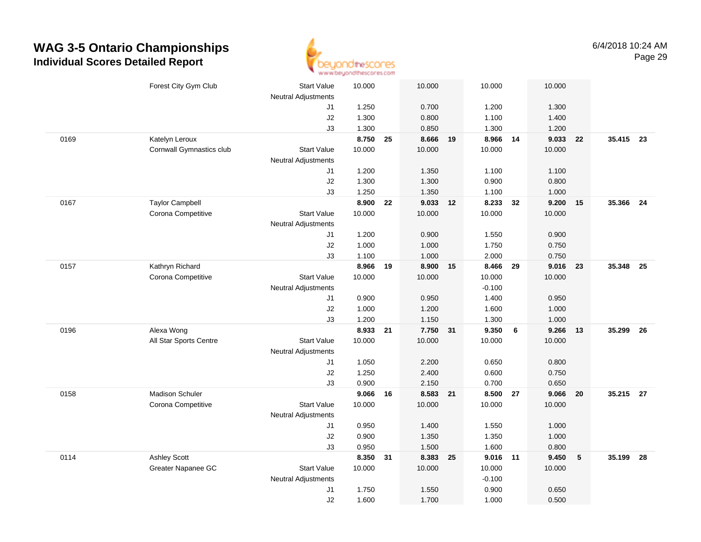

|      | Forest City Gym Club     | <b>Start Value</b><br><b>Neutral Adjustments</b> | 10.000   |    | 10.000   |    | 10.000             |    | 10.000         |    |           |      |
|------|--------------------------|--------------------------------------------------|----------|----|----------|----|--------------------|----|----------------|----|-----------|------|
|      |                          | J1                                               | 1.250    |    | 0.700    |    | 1.200              |    | 1.300          |    |           |      |
|      |                          | J2                                               | 1.300    |    | 0.800    |    | 1.100              |    | 1.400          |    |           |      |
|      |                          | J3                                               | 1.300    |    | 0.850    |    | 1.300              |    | 1.200          |    |           |      |
| 0169 | Katelyn Leroux           |                                                  | 8.750    | 25 | 8.666 19 |    | 8.966              | 14 | 9.033          | 22 | 35.415 23 |      |
|      | Cornwall Gymnastics club | <b>Start Value</b>                               | 10.000   |    | 10.000   |    | 10.000             |    | 10.000         |    |           |      |
|      |                          | <b>Neutral Adjustments</b>                       |          |    |          |    |                    |    |                |    |           |      |
|      |                          | J1                                               | 1.200    |    | 1.350    |    | 1.100              |    | 1.100          |    |           |      |
|      |                          | J2                                               | 1.300    |    | 1.300    |    | 0.900              |    | 0.800          |    |           |      |
|      |                          | J3                                               | 1.250    |    | 1.350    |    | 1.100              |    | 1.000          |    |           |      |
| 0167 | <b>Taylor Campbell</b>   |                                                  | 8.900    | 22 | 9.033 12 |    | 8.233              | 32 | 9.200          | 15 | 35.366    | 24   |
|      | Corona Competitive       | <b>Start Value</b>                               | 10.000   |    | 10.000   |    | 10.000             |    | 10.000         |    |           |      |
|      |                          | <b>Neutral Adjustments</b>                       |          |    |          |    |                    |    |                |    |           |      |
|      |                          | J1                                               | 1.200    |    | 0.900    |    | 1.550              |    | 0.900          |    |           |      |
|      |                          | J2                                               | 1.000    |    | 1.000    |    | 1.750              |    | 0.750          |    |           |      |
|      |                          | J3                                               | 1.100    |    | 1.000    |    | 2.000              |    | 0.750          |    |           |      |
| 0157 | Kathryn Richard          |                                                  | 8.966 19 |    | 8.900    | 15 | 8.466 29           |    | 9.016          | 23 | 35.348 25 |      |
|      | Corona Competitive       | Start Value                                      | 10.000   |    | 10.000   |    | 10.000             |    | 10.000         |    |           |      |
|      |                          | <b>Neutral Adjustments</b>                       |          |    |          |    | $-0.100$           |    |                |    |           |      |
|      |                          | J1                                               | 0.900    |    | 0.950    |    | 1.400              |    | 0.950          |    |           |      |
|      |                          | J2                                               | 1.000    |    | 1.200    |    | 1.600              |    | 1.000          |    |           |      |
|      |                          | J3                                               | 1.200    |    | 1.150    |    | 1.300              |    | 1.000          |    |           |      |
| 0196 | Alexa Wong               |                                                  | 8.933    | 21 | 7.750 31 |    | 9.350              | 6  | 9.266          | 13 | 35.299    | - 26 |
|      | All Star Sports Centre   | <b>Start Value</b>                               | 10.000   |    | 10.000   |    | 10.000             |    | 10.000         |    |           |      |
|      |                          | <b>Neutral Adjustments</b>                       |          |    |          |    |                    |    |                |    |           |      |
|      |                          | J1                                               | 1.050    |    | 2.200    |    | 0.650              |    | 0.800          |    |           |      |
|      |                          | J2                                               | 1.250    |    | 2.400    |    | 0.600              |    | 0.750          |    |           |      |
|      |                          | J3                                               | 0.900    |    | 2.150    |    | 0.700              |    | 0.650          |    |           |      |
| 0158 | Madison Schuler          |                                                  | 9.066 16 |    | 8.583 21 |    | 8.500 27           |    | 9.066          | 20 | 35.215 27 |      |
|      | Corona Competitive       | <b>Start Value</b>                               | 10.000   |    | 10.000   |    | 10.000             |    | 10.000         |    |           |      |
|      |                          | Neutral Adjustments                              |          |    |          |    |                    |    |                |    |           |      |
|      |                          | J1                                               | 0.950    |    | 1.400    |    | 1.550              |    | 1.000          |    |           |      |
|      |                          | J2                                               | 0.900    |    | 1.350    |    | 1.350              |    | 1.000          |    |           |      |
| 0114 |                          | J3                                               | 0.950    |    | 1.500    |    | 1.600              |    | 0.800          |    | 35.199    |      |
|      | <b>Ashley Scott</b>      |                                                  | 8.350    | 31 | 8.383 25 |    | 9.016 11           |    | 9.450          | 5  |           | 28   |
|      | Greater Napanee GC       | <b>Start Value</b>                               | 10.000   |    | 10.000   |    | 10.000<br>$-0.100$ |    | 10.000         |    |           |      |
|      |                          | <b>Neutral Adjustments</b>                       | 1.750    |    | 1.550    |    | 0.900              |    |                |    |           |      |
|      |                          | J1<br>J2                                         | 1.600    |    | 1.700    |    | 1.000              |    | 0.650<br>0.500 |    |           |      |
|      |                          |                                                  |          |    |          |    |                    |    |                |    |           |      |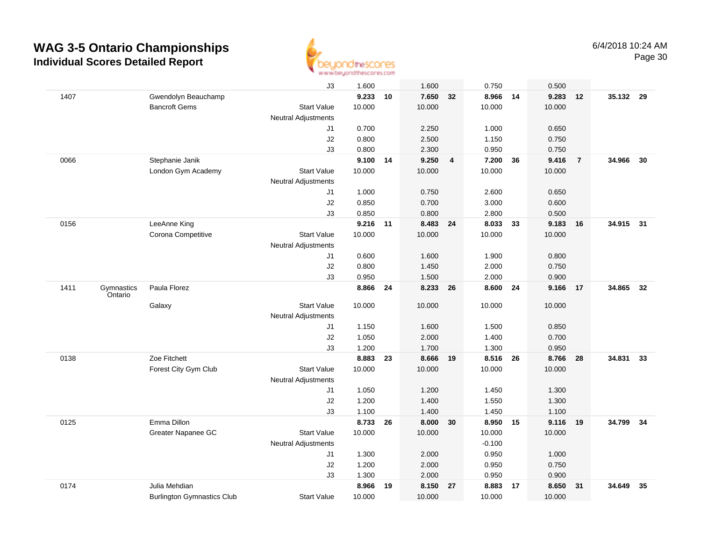

|      |                       |                                   | J3                         | 1.600    |    | 1.600    |    | 0.750    |    | 0.500  |                |           |    |
|------|-----------------------|-----------------------------------|----------------------------|----------|----|----------|----|----------|----|--------|----------------|-----------|----|
| 1407 |                       | Gwendolyn Beauchamp               |                            | 9.233    | 10 | 7.650    | 32 | 8.966    | 14 | 9.283  | 12             | 35.132 29 |    |
|      |                       | <b>Bancroft Gems</b>              | <b>Start Value</b>         | 10.000   |    | 10.000   |    | 10.000   |    | 10.000 |                |           |    |
|      |                       |                                   | <b>Neutral Adjustments</b> |          |    |          |    |          |    |        |                |           |    |
|      |                       |                                   | J1                         | 0.700    |    | 2.250    |    | 1.000    |    | 0.650  |                |           |    |
|      |                       |                                   | J2                         | 0.800    |    | 2.500    |    | 1.150    |    | 0.750  |                |           |    |
|      |                       |                                   | J3                         | 0.800    |    | 2.300    |    | 0.950    |    | 0.750  |                |           |    |
| 0066 |                       | Stephanie Janik                   |                            | 9.100    | 14 | 9.250    | 4  | 7.200    | 36 | 9.416  | $\overline{7}$ | 34.966    | 30 |
|      |                       | London Gym Academy                | <b>Start Value</b>         | 10.000   |    | 10.000   |    | 10.000   |    | 10.000 |                |           |    |
|      |                       |                                   | <b>Neutral Adjustments</b> |          |    |          |    |          |    |        |                |           |    |
|      |                       |                                   | J1                         | 1.000    |    | 0.750    |    | 2.600    |    | 0.650  |                |           |    |
|      |                       |                                   | J2                         | 0.850    |    | 0.700    |    | 3.000    |    | 0.600  |                |           |    |
|      |                       |                                   | J3                         | 0.850    |    | 0.800    |    | 2.800    |    | 0.500  |                |           |    |
| 0156 |                       | LeeAnne King                      |                            | 9.216 11 |    | 8.483 24 |    | 8.033    | 33 | 9.183  | 16             | 34.915    | 31 |
|      |                       | Corona Competitive                | <b>Start Value</b>         | 10.000   |    | 10.000   |    | 10.000   |    | 10.000 |                |           |    |
|      |                       |                                   | <b>Neutral Adjustments</b> |          |    |          |    |          |    |        |                |           |    |
|      |                       |                                   | J1                         | 0.600    |    | 1.600    |    | 1.900    |    | 0.800  |                |           |    |
|      |                       |                                   | J2                         | 0.800    |    | 1.450    |    | 2.000    |    | 0.750  |                |           |    |
|      |                       |                                   | J3                         | 0.950    |    | 1.500    |    | 2.000    |    | 0.900  |                |           |    |
| 1411 | Gymnastics<br>Ontario | Paula Florez                      |                            | 8.866    | 24 | 8.233    | 26 | 8.600 24 |    | 9.166  | 17             | 34.865    | 32 |
|      |                       | Galaxy                            | <b>Start Value</b>         | 10.000   |    | 10.000   |    | 10.000   |    | 10.000 |                |           |    |
|      |                       |                                   | <b>Neutral Adjustments</b> |          |    |          |    |          |    |        |                |           |    |
|      |                       |                                   | J <sub>1</sub>             | 1.150    |    | 1.600    |    | 1.500    |    | 0.850  |                |           |    |
|      |                       |                                   | J2                         | 1.050    |    | 2.000    |    | 1.400    |    | 0.700  |                |           |    |
|      |                       |                                   | J3                         | 1.200    |    | 1.700    |    | 1.300    |    | 0.950  |                |           |    |
| 0138 |                       | Zoe Fitchett                      |                            | 8.883    | 23 | 8.666 19 |    | 8.516 26 |    | 8.766  | 28             | 34.831    | 33 |
|      |                       | Forest City Gym Club              | <b>Start Value</b>         | 10.000   |    | 10.000   |    | 10.000   |    | 10.000 |                |           |    |
|      |                       |                                   | Neutral Adjustments        |          |    |          |    |          |    |        |                |           |    |
|      |                       |                                   | J1                         | 1.050    |    | 1.200    |    | 1.450    |    | 1.300  |                |           |    |
|      |                       |                                   | J2                         | 1.200    |    | 1.400    |    | 1.550    |    | 1.300  |                |           |    |
|      |                       |                                   | J3                         | 1.100    |    | 1.400    |    | 1.450    |    | 1.100  |                |           |    |
| 0125 |                       | Emma Dillon                       |                            | 8.733    | 26 | 8.000    | 30 | 8.950    | 15 | 9.116  | 19             | 34.799    | 34 |
|      |                       | Greater Napanee GC                | <b>Start Value</b>         | 10.000   |    | 10.000   |    | 10.000   |    | 10.000 |                |           |    |
|      |                       |                                   | <b>Neutral Adjustments</b> |          |    |          |    | $-0.100$ |    |        |                |           |    |
|      |                       |                                   | J1                         | 1.300    |    | 2.000    |    | 0.950    |    | 1.000  |                |           |    |
|      |                       |                                   | $\sf J2$                   | 1.200    |    | 2.000    |    | 0.950    |    | 0.750  |                |           |    |
|      |                       |                                   | J3                         | 1.300    |    | 2.000    |    | 0.950    |    | 0.900  |                |           |    |
| 0174 |                       | Julia Mehdian                     |                            | 8.966    | 19 | 8.150    | 27 | 8.883    | 17 | 8.650  | 31             | 34.649    | 35 |
|      |                       | <b>Burlington Gymnastics Club</b> | <b>Start Value</b>         | 10.000   |    | 10.000   |    | 10.000   |    | 10.000 |                |           |    |
|      |                       |                                   |                            |          |    |          |    |          |    |        |                |           |    |